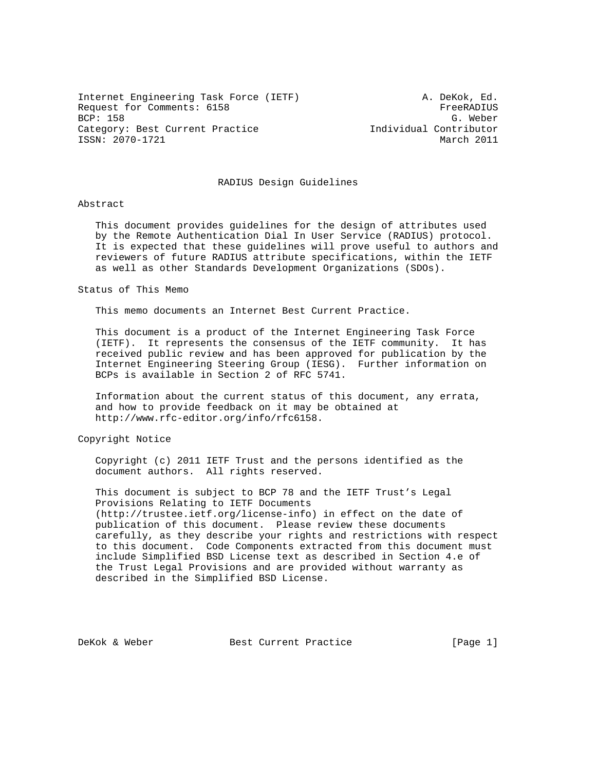Internet Engineering Task Force (IETF) A. DeKok, Ed. Request for Comments: 6158 FreeRADIUS<br>BCP: 158 G. Weber BCP: 158 G. Weber Category: Best Current Practice Individual Contributor ISSN: 2070-1721 March 2011

#### RADIUS Design Guidelines

## Abstract

 This document provides guidelines for the design of attributes used by the Remote Authentication Dial In User Service (RADIUS) protocol. It is expected that these guidelines will prove useful to authors and reviewers of future RADIUS attribute specifications, within the IETF as well as other Standards Development Organizations (SDOs).

#### Status of This Memo

This memo documents an Internet Best Current Practice.

 This document is a product of the Internet Engineering Task Force (IETF). It represents the consensus of the IETF community. It has received public review and has been approved for publication by the Internet Engineering Steering Group (IESG). Further information on BCPs is available in Section 2 of RFC 5741.

 Information about the current status of this document, any errata, and how to provide feedback on it may be obtained at http://www.rfc-editor.org/info/rfc6158.

Copyright Notice

 Copyright (c) 2011 IETF Trust and the persons identified as the document authors. All rights reserved.

 This document is subject to BCP 78 and the IETF Trust's Legal Provisions Relating to IETF Documents (http://trustee.ietf.org/license-info) in effect on the date of publication of this document. Please review these documents carefully, as they describe your rights and restrictions with respect to this document. Code Components extracted from this document must include Simplified BSD License text as described in Section 4.e of the Trust Legal Provisions and are provided without warranty as described in the Simplified BSD License.

DeKok & Weber Best Current Practice [Page 1]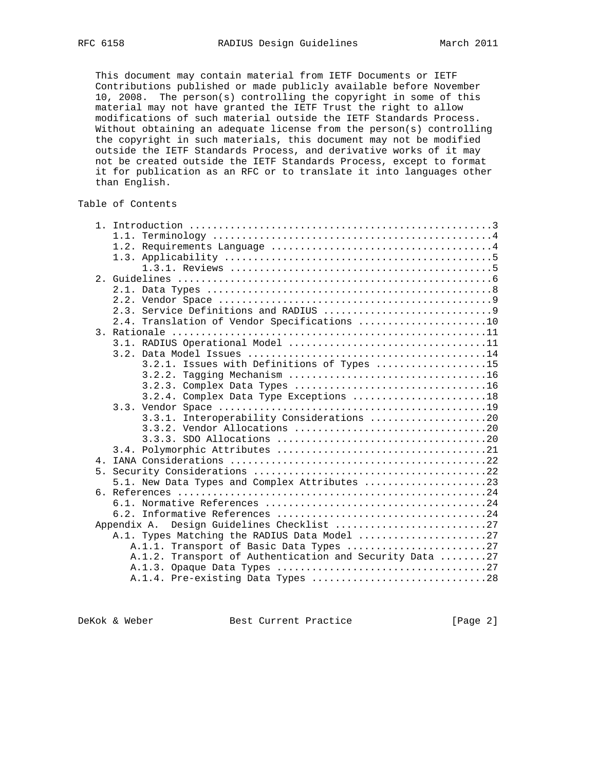This document may contain material from IETF Documents or IETF Contributions published or made publicly available before November 10, 2008. The person(s) controlling the copyright in some of this material may not have granted the IETF Trust the right to allow modifications of such material outside the IETF Standards Process. Without obtaining an adequate license from the person(s) controlling the copyright in such materials, this document may not be modified outside the IETF Standards Process, and derivative works of it may not be created outside the IETF Standards Process, except to format it for publication as an RFC or to translate it into languages other than English.

# Table of Contents

|    | 2.4. Translation of Vendor Specifications 10            |
|----|---------------------------------------------------------|
|    |                                                         |
|    |                                                         |
|    |                                                         |
|    | 3.2.1. Issues with Definitions of Types 15              |
|    |                                                         |
|    |                                                         |
|    | 3.2.4. Complex Data Type Exceptions 18                  |
|    |                                                         |
|    | 3.3.1. Interoperability Considerations 20               |
|    |                                                         |
|    |                                                         |
|    |                                                         |
|    |                                                         |
| 5. |                                                         |
|    | 5.1. New Data Types and Complex Attributes 23           |
|    |                                                         |
|    |                                                         |
|    |                                                         |
|    | Design Guidelines Checklist 27<br>Appendix A.           |
|    | A.1. Types Matching the RADIUS Data Model 27            |
|    | A.1.1. Transport of Basic Data Types 27                 |
|    | A.1.2. Transport of Authentication and Security Data 27 |
|    |                                                         |
|    |                                                         |
|    |                                                         |

DeKok & Weber Best Current Practice [Page 2]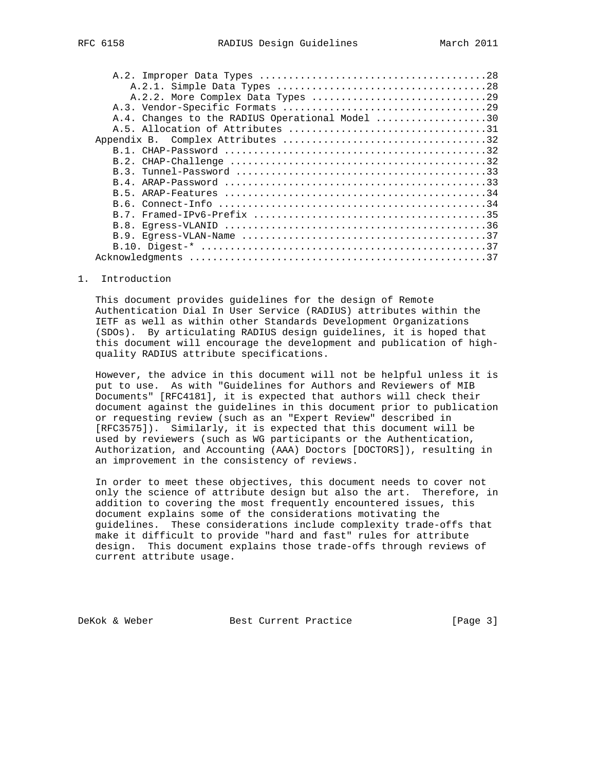| A.4. Changes to the RADIUS Operational Model 30 |
|-------------------------------------------------|
|                                                 |
|                                                 |
|                                                 |
|                                                 |
|                                                 |
|                                                 |
|                                                 |
|                                                 |
|                                                 |
|                                                 |
|                                                 |
|                                                 |
|                                                 |
|                                                 |

#### 1. Introduction

 This document provides guidelines for the design of Remote Authentication Dial In User Service (RADIUS) attributes within the IETF as well as within other Standards Development Organizations (SDOs). By articulating RADIUS design guidelines, it is hoped that this document will encourage the development and publication of high quality RADIUS attribute specifications.

 However, the advice in this document will not be helpful unless it is put to use. As with "Guidelines for Authors and Reviewers of MIB Documents" [RFC4181], it is expected that authors will check their document against the guidelines in this document prior to publication or requesting review (such as an "Expert Review" described in [RFC3575]). Similarly, it is expected that this document will be used by reviewers (such as WG participants or the Authentication, Authorization, and Accounting (AAA) Doctors [DOCTORS]), resulting in an improvement in the consistency of reviews.

 In order to meet these objectives, this document needs to cover not only the science of attribute design but also the art. Therefore, in addition to covering the most frequently encountered issues, this document explains some of the considerations motivating the guidelines. These considerations include complexity trade-offs that make it difficult to provide "hard and fast" rules for attribute design. This document explains those trade-offs through reviews of current attribute usage.

DeKok & Weber Best Current Practice [Page 3]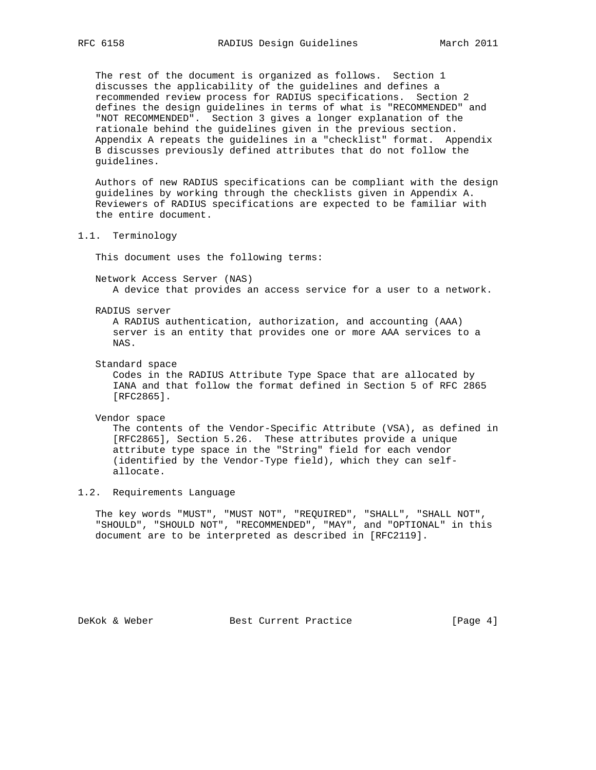The rest of the document is organized as follows. Section 1 discusses the applicability of the guidelines and defines a recommended review process for RADIUS specifications. Section 2 defines the design guidelines in terms of what is "RECOMMENDED" and "NOT RECOMMENDED". Section 3 gives a longer explanation of the rationale behind the guidelines given in the previous section. Appendix A repeats the guidelines in a "checklist" format. Appendix B discusses previously defined attributes that do not follow the guidelines.

 Authors of new RADIUS specifications can be compliant with the design guidelines by working through the checklists given in Appendix A. Reviewers of RADIUS specifications are expected to be familiar with the entire document.

1.1. Terminology

This document uses the following terms:

 Network Access Server (NAS) A device that provides an access service for a user to a network.

RADIUS server

 A RADIUS authentication, authorization, and accounting (AAA) server is an entity that provides one or more AAA services to a NAS.

Standard space

 Codes in the RADIUS Attribute Type Space that are allocated by IANA and that follow the format defined in Section 5 of RFC 2865 [RFC2865].

Vendor space

 The contents of the Vendor-Specific Attribute (VSA), as defined in [RFC2865], Section 5.26. These attributes provide a unique attribute type space in the "String" field for each vendor (identified by the Vendor-Type field), which they can self allocate.

## 1.2. Requirements Language

 The key words "MUST", "MUST NOT", "REQUIRED", "SHALL", "SHALL NOT", "SHOULD", "SHOULD NOT", "RECOMMENDED", "MAY", and "OPTIONAL" in this document are to be interpreted as described in [RFC2119].

DeKok & Weber Best Current Practice [Page 4]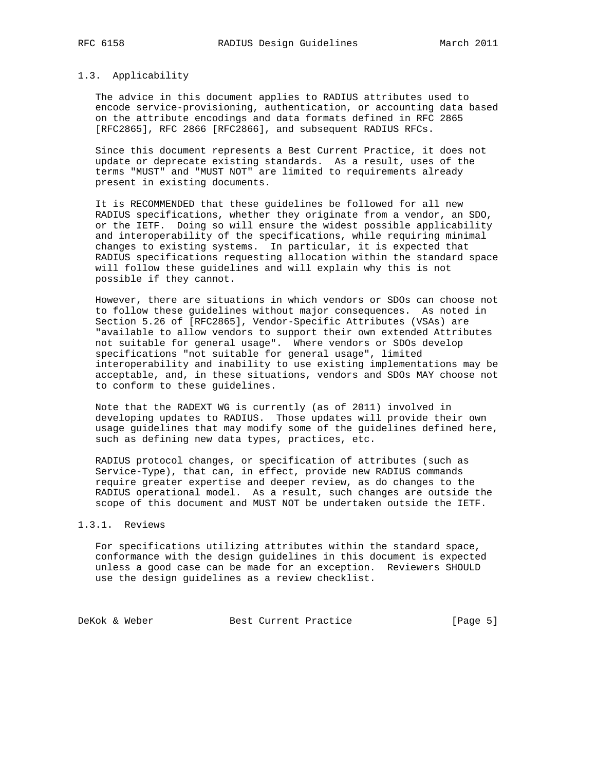#### 1.3. Applicability

 The advice in this document applies to RADIUS attributes used to encode service-provisioning, authentication, or accounting data based on the attribute encodings and data formats defined in RFC 2865 [RFC2865], RFC 2866 [RFC2866], and subsequent RADIUS RFCs.

 Since this document represents a Best Current Practice, it does not update or deprecate existing standards. As a result, uses of the terms "MUST" and "MUST NOT" are limited to requirements already present in existing documents.

 It is RECOMMENDED that these guidelines be followed for all new RADIUS specifications, whether they originate from a vendor, an SDO, or the IETF. Doing so will ensure the widest possible applicability and interoperability of the specifications, while requiring minimal changes to existing systems. In particular, it is expected that RADIUS specifications requesting allocation within the standard space will follow these guidelines and will explain why this is not possible if they cannot.

 However, there are situations in which vendors or SDOs can choose not to follow these guidelines without major consequences. As noted in Section 5.26 of [RFC2865], Vendor-Specific Attributes (VSAs) are "available to allow vendors to support their own extended Attributes not suitable for general usage". Where vendors or SDOs develop specifications "not suitable for general usage", limited interoperability and inability to use existing implementations may be acceptable, and, in these situations, vendors and SDOs MAY choose not to conform to these guidelines.

 Note that the RADEXT WG is currently (as of 2011) involved in developing updates to RADIUS. Those updates will provide their own usage guidelines that may modify some of the guidelines defined here, such as defining new data types, practices, etc.

 RADIUS protocol changes, or specification of attributes (such as Service-Type), that can, in effect, provide new RADIUS commands require greater expertise and deeper review, as do changes to the RADIUS operational model. As a result, such changes are outside the scope of this document and MUST NOT be undertaken outside the IETF.

# 1.3.1. Reviews

 For specifications utilizing attributes within the standard space, conformance with the design guidelines in this document is expected unless a good case can be made for an exception. Reviewers SHOULD use the design guidelines as a review checklist.

DeKok & Weber Best Current Practice [Page 5]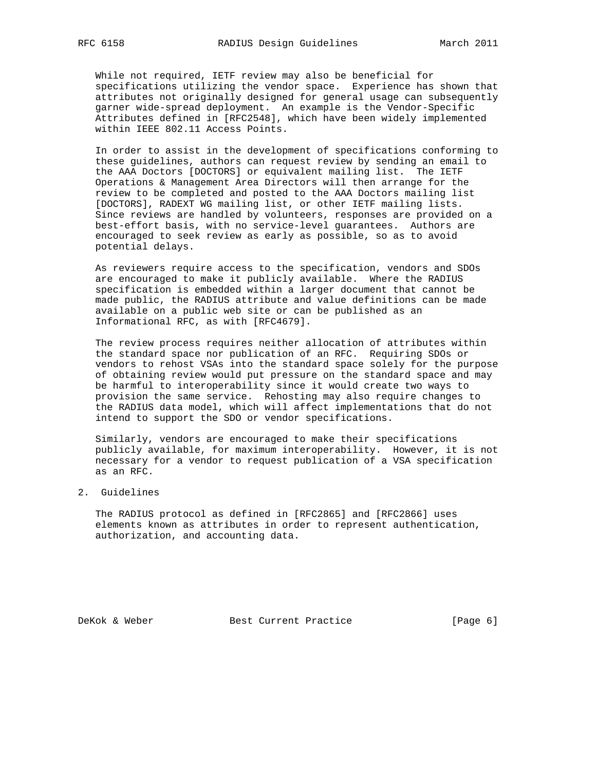While not required, IETF review may also be beneficial for specifications utilizing the vendor space. Experience has shown that attributes not originally designed for general usage can subsequently garner wide-spread deployment. An example is the Vendor-Specific Attributes defined in [RFC2548], which have been widely implemented within IEEE 802.11 Access Points.

 In order to assist in the development of specifications conforming to these guidelines, authors can request review by sending an email to the AAA Doctors [DOCTORS] or equivalent mailing list. The IETF Operations & Management Area Directors will then arrange for the review to be completed and posted to the AAA Doctors mailing list [DOCTORS], RADEXT WG mailing list, or other IETF mailing lists. Since reviews are handled by volunteers, responses are provided on a best-effort basis, with no service-level guarantees. Authors are encouraged to seek review as early as possible, so as to avoid potential delays.

 As reviewers require access to the specification, vendors and SDOs are encouraged to make it publicly available. Where the RADIUS specification is embedded within a larger document that cannot be made public, the RADIUS attribute and value definitions can be made available on a public web site or can be published as an Informational RFC, as with [RFC4679].

 The review process requires neither allocation of attributes within the standard space nor publication of an RFC. Requiring SDOs or vendors to rehost VSAs into the standard space solely for the purpose of obtaining review would put pressure on the standard space and may be harmful to interoperability since it would create two ways to provision the same service. Rehosting may also require changes to the RADIUS data model, which will affect implementations that do not intend to support the SDO or vendor specifications.

 Similarly, vendors are encouraged to make their specifications publicly available, for maximum interoperability. However, it is not necessary for a vendor to request publication of a VSA specification as an RFC.

## 2. Guidelines

 The RADIUS protocol as defined in [RFC2865] and [RFC2866] uses elements known as attributes in order to represent authentication, authorization, and accounting data.

DeKok & Weber Best Current Practice [Page 6]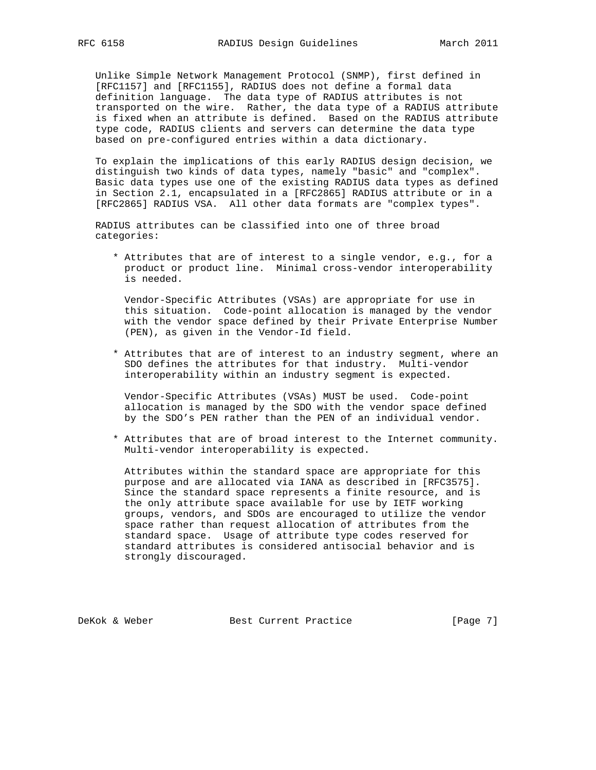Unlike Simple Network Management Protocol (SNMP), first defined in [RFC1157] and [RFC1155], RADIUS does not define a formal data definition language. The data type of RADIUS attributes is not transported on the wire. Rather, the data type of a RADIUS attribute is fixed when an attribute is defined. Based on the RADIUS attribute type code, RADIUS clients and servers can determine the data type based on pre-configured entries within a data dictionary.

 To explain the implications of this early RADIUS design decision, we distinguish two kinds of data types, namely "basic" and "complex". Basic data types use one of the existing RADIUS data types as defined in Section 2.1, encapsulated in a [RFC2865] RADIUS attribute or in a [RFC2865] RADIUS VSA. All other data formats are "complex types".

 RADIUS attributes can be classified into one of three broad categories:

 \* Attributes that are of interest to a single vendor, e.g., for a product or product line. Minimal cross-vendor interoperability is needed.

 Vendor-Specific Attributes (VSAs) are appropriate for use in this situation. Code-point allocation is managed by the vendor with the vendor space defined by their Private Enterprise Number (PEN), as given in the Vendor-Id field.

 \* Attributes that are of interest to an industry segment, where an SDO defines the attributes for that industry. Multi-vendor interoperability within an industry segment is expected.

 Vendor-Specific Attributes (VSAs) MUST be used. Code-point allocation is managed by the SDO with the vendor space defined by the SDO's PEN rather than the PEN of an individual vendor.

 \* Attributes that are of broad interest to the Internet community. Multi-vendor interoperability is expected.

 Attributes within the standard space are appropriate for this purpose and are allocated via IANA as described in [RFC3575]. Since the standard space represents a finite resource, and is the only attribute space available for use by IETF working groups, vendors, and SDOs are encouraged to utilize the vendor space rather than request allocation of attributes from the standard space. Usage of attribute type codes reserved for standard attributes is considered antisocial behavior and is strongly discouraged.

DeKok & Weber Best Current Practice [Page 7]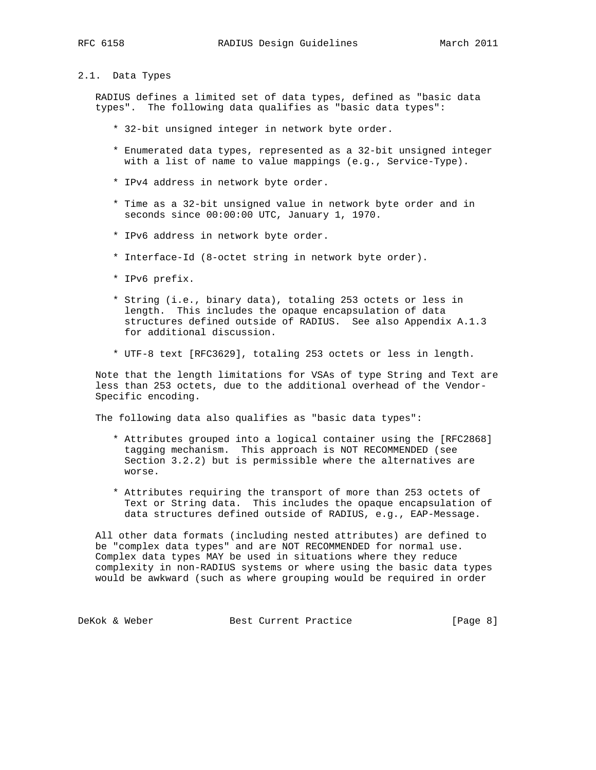# 2.1. Data Types

 RADIUS defines a limited set of data types, defined as "basic data types". The following data qualifies as "basic data types":

- \* 32-bit unsigned integer in network byte order.
- \* Enumerated data types, represented as a 32-bit unsigned integer with a list of name to value mappings (e.g., Service-Type).
- \* IPv4 address in network byte order.
- \* Time as a 32-bit unsigned value in network byte order and in seconds since 00:00:00 UTC, January 1, 1970.
- \* IPv6 address in network byte order.
- \* Interface-Id (8-octet string in network byte order).
- \* IPv6 prefix.
- \* String (i.e., binary data), totaling 253 octets or less in length. This includes the opaque encapsulation of data structures defined outside of RADIUS. See also Appendix A.1.3 for additional discussion.
- \* UTF-8 text [RFC3629], totaling 253 octets or less in length.

 Note that the length limitations for VSAs of type String and Text are less than 253 octets, due to the additional overhead of the Vendor- Specific encoding.

The following data also qualifies as "basic data types":

- \* Attributes grouped into a logical container using the [RFC2868] tagging mechanism. This approach is NOT RECOMMENDED (see Section 3.2.2) but is permissible where the alternatives are worse.
- \* Attributes requiring the transport of more than 253 octets of Text or String data. This includes the opaque encapsulation of data structures defined outside of RADIUS, e.g., EAP-Message.

 All other data formats (including nested attributes) are defined to be "complex data types" and are NOT RECOMMENDED for normal use. Complex data types MAY be used in situations where they reduce complexity in non-RADIUS systems or where using the basic data types would be awkward (such as where grouping would be required in order

DeKok & Weber Best Current Practice [Page 8]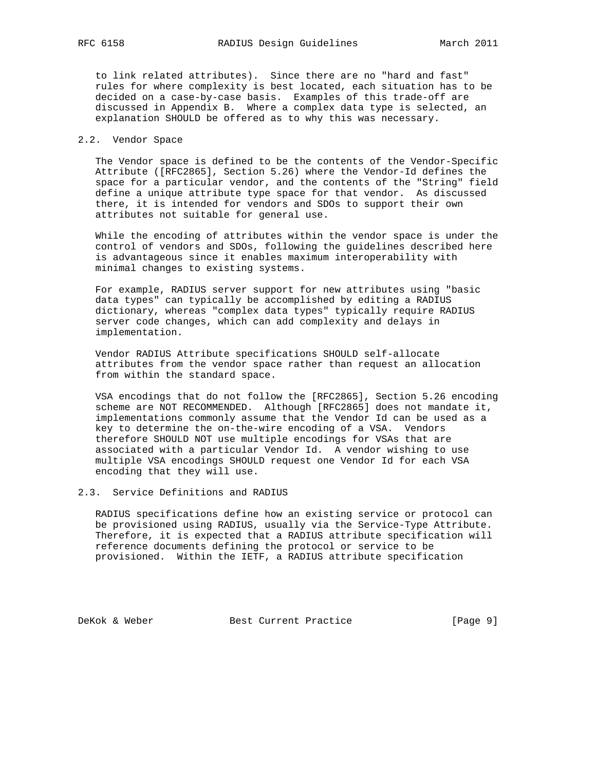to link related attributes). Since there are no "hard and fast" rules for where complexity is best located, each situation has to be decided on a case-by-case basis. Examples of this trade-off are discussed in Appendix B. Where a complex data type is selected, an explanation SHOULD be offered as to why this was necessary.

# 2.2. Vendor Space

 The Vendor space is defined to be the contents of the Vendor-Specific Attribute ([RFC2865], Section 5.26) where the Vendor-Id defines the space for a particular vendor, and the contents of the "String" field define a unique attribute type space for that vendor. As discussed there, it is intended for vendors and SDOs to support their own attributes not suitable for general use.

 While the encoding of attributes within the vendor space is under the control of vendors and SDOs, following the guidelines described here is advantageous since it enables maximum interoperability with minimal changes to existing systems.

 For example, RADIUS server support for new attributes using "basic data types" can typically be accomplished by editing a RADIUS dictionary, whereas "complex data types" typically require RADIUS server code changes, which can add complexity and delays in implementation.

 Vendor RADIUS Attribute specifications SHOULD self-allocate attributes from the vendor space rather than request an allocation from within the standard space.

 VSA encodings that do not follow the [RFC2865], Section 5.26 encoding scheme are NOT RECOMMENDED. Although [RFC2865] does not mandate it, implementations commonly assume that the Vendor Id can be used as a key to determine the on-the-wire encoding of a VSA. Vendors therefore SHOULD NOT use multiple encodings for VSAs that are associated with a particular Vendor Id. A vendor wishing to use multiple VSA encodings SHOULD request one Vendor Id for each VSA encoding that they will use.

## 2.3. Service Definitions and RADIUS

 RADIUS specifications define how an existing service or protocol can be provisioned using RADIUS, usually via the Service-Type Attribute. Therefore, it is expected that a RADIUS attribute specification will reference documents defining the protocol or service to be provisioned. Within the IETF, a RADIUS attribute specification

DeKok & Weber Best Current Practice [Page 9]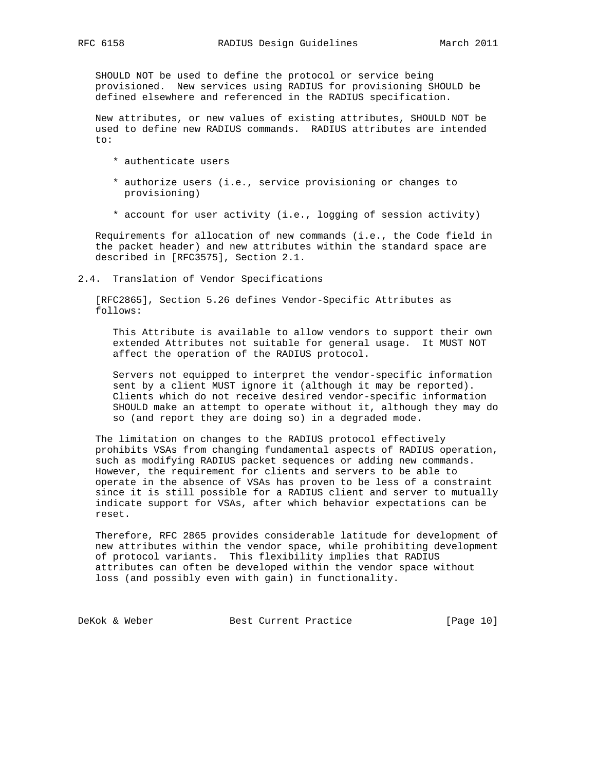SHOULD NOT be used to define the protocol or service being provisioned. New services using RADIUS for provisioning SHOULD be defined elsewhere and referenced in the RADIUS specification.

 New attributes, or new values of existing attributes, SHOULD NOT be used to define new RADIUS commands. RADIUS attributes are intended to:

- \* authenticate users
- \* authorize users (i.e., service provisioning or changes to provisioning)
- \* account for user activity (i.e., logging of session activity)

 Requirements for allocation of new commands (i.e., the Code field in the packet header) and new attributes within the standard space are described in [RFC3575], Section 2.1.

2.4. Translation of Vendor Specifications

 [RFC2865], Section 5.26 defines Vendor-Specific Attributes as follows:

 This Attribute is available to allow vendors to support their own extended Attributes not suitable for general usage. It MUST NOT affect the operation of the RADIUS protocol.

 Servers not equipped to interpret the vendor-specific information sent by a client MUST ignore it (although it may be reported). Clients which do not receive desired vendor-specific information SHOULD make an attempt to operate without it, although they may do so (and report they are doing so) in a degraded mode.

 The limitation on changes to the RADIUS protocol effectively prohibits VSAs from changing fundamental aspects of RADIUS operation, such as modifying RADIUS packet sequences or adding new commands. However, the requirement for clients and servers to be able to operate in the absence of VSAs has proven to be less of a constraint since it is still possible for a RADIUS client and server to mutually indicate support for VSAs, after which behavior expectations can be reset.

 Therefore, RFC 2865 provides considerable latitude for development of new attributes within the vendor space, while prohibiting development of protocol variants. This flexibility implies that RADIUS attributes can often be developed within the vendor space without loss (and possibly even with gain) in functionality.

DeKok & Weber Best Current Practice [Page 10]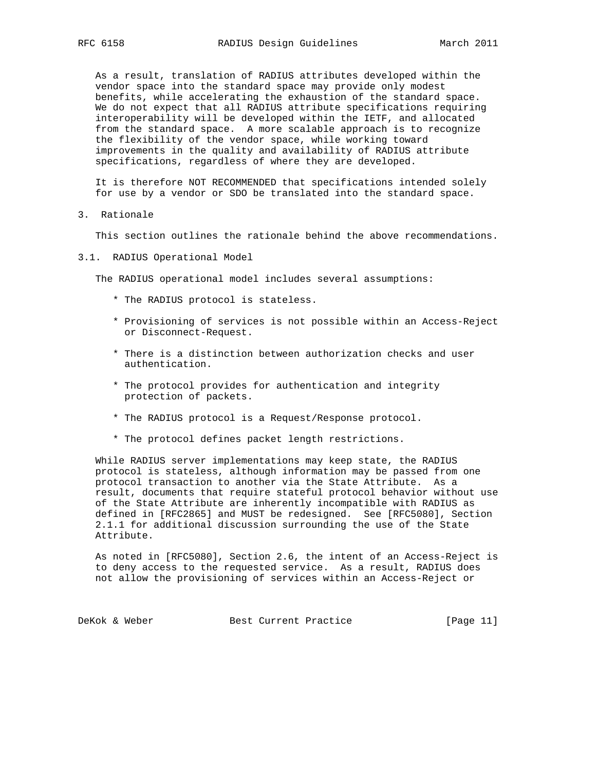As a result, translation of RADIUS attributes developed within the vendor space into the standard space may provide only modest benefits, while accelerating the exhaustion of the standard space. We do not expect that all RADIUS attribute specifications requiring interoperability will be developed within the IETF, and allocated from the standard space. A more scalable approach is to recognize the flexibility of the vendor space, while working toward improvements in the quality and availability of RADIUS attribute specifications, regardless of where they are developed.

 It is therefore NOT RECOMMENDED that specifications intended solely for use by a vendor or SDO be translated into the standard space.

3. Rationale

This section outlines the rationale behind the above recommendations.

3.1. RADIUS Operational Model

The RADIUS operational model includes several assumptions:

- \* The RADIUS protocol is stateless.
- \* Provisioning of services is not possible within an Access-Reject or Disconnect-Request.
- \* There is a distinction between authorization checks and user authentication.
- \* The protocol provides for authentication and integrity protection of packets.
- \* The RADIUS protocol is a Request/Response protocol.
- \* The protocol defines packet length restrictions.

 While RADIUS server implementations may keep state, the RADIUS protocol is stateless, although information may be passed from one protocol transaction to another via the State Attribute. As a result, documents that require stateful protocol behavior without use of the State Attribute are inherently incompatible with RADIUS as defined in [RFC2865] and MUST be redesigned. See [RFC5080], Section 2.1.1 for additional discussion surrounding the use of the State Attribute.

 As noted in [RFC5080], Section 2.6, the intent of an Access-Reject is to deny access to the requested service. As a result, RADIUS does not allow the provisioning of services within an Access-Reject or

DeKok & Weber Best Current Practice [Page 11]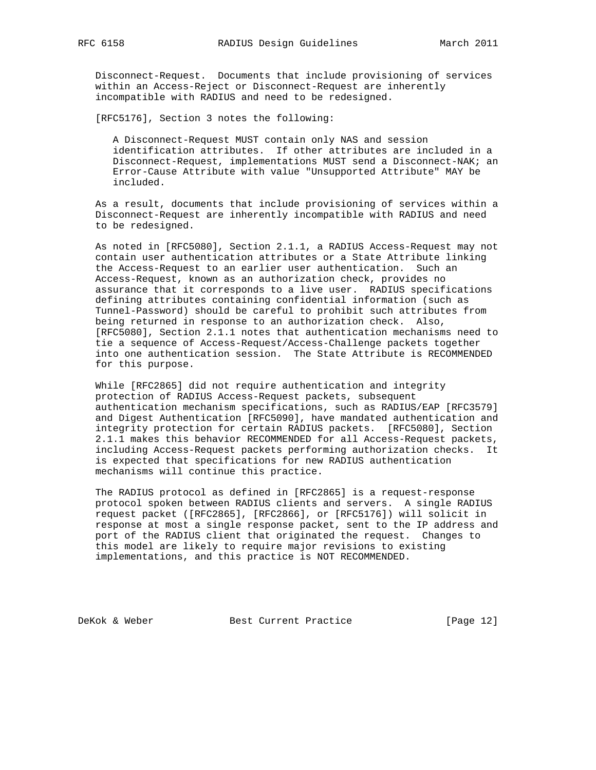Disconnect-Request. Documents that include provisioning of services within an Access-Reject or Disconnect-Request are inherently incompatible with RADIUS and need to be redesigned.

[RFC5176], Section 3 notes the following:

 A Disconnect-Request MUST contain only NAS and session identification attributes. If other attributes are included in a Disconnect-Request, implementations MUST send a Disconnect-NAK; an Error-Cause Attribute with value "Unsupported Attribute" MAY be included.

 As a result, documents that include provisioning of services within a Disconnect-Request are inherently incompatible with RADIUS and need to be redesigned.

 As noted in [RFC5080], Section 2.1.1, a RADIUS Access-Request may not contain user authentication attributes or a State Attribute linking the Access-Request to an earlier user authentication. Such an Access-Request, known as an authorization check, provides no assurance that it corresponds to a live user. RADIUS specifications defining attributes containing confidential information (such as Tunnel-Password) should be careful to prohibit such attributes from being returned in response to an authorization check. Also, [RFC5080], Section 2.1.1 notes that authentication mechanisms need to tie a sequence of Access-Request/Access-Challenge packets together into one authentication session. The State Attribute is RECOMMENDED for this purpose.

 While [RFC2865] did not require authentication and integrity protection of RADIUS Access-Request packets, subsequent authentication mechanism specifications, such as RADIUS/EAP [RFC3579] and Digest Authentication [RFC5090], have mandated authentication and integrity protection for certain RADIUS packets. [RFC5080], Section 2.1.1 makes this behavior RECOMMENDED for all Access-Request packets, including Access-Request packets performing authorization checks. It is expected that specifications for new RADIUS authentication mechanisms will continue this practice.

 The RADIUS protocol as defined in [RFC2865] is a request-response protocol spoken between RADIUS clients and servers. A single RADIUS request packet ([RFC2865], [RFC2866], or [RFC5176]) will solicit in response at most a single response packet, sent to the IP address and port of the RADIUS client that originated the request. Changes to this model are likely to require major revisions to existing implementations, and this practice is NOT RECOMMENDED.

DeKok & Weber Best Current Practice [Page 12]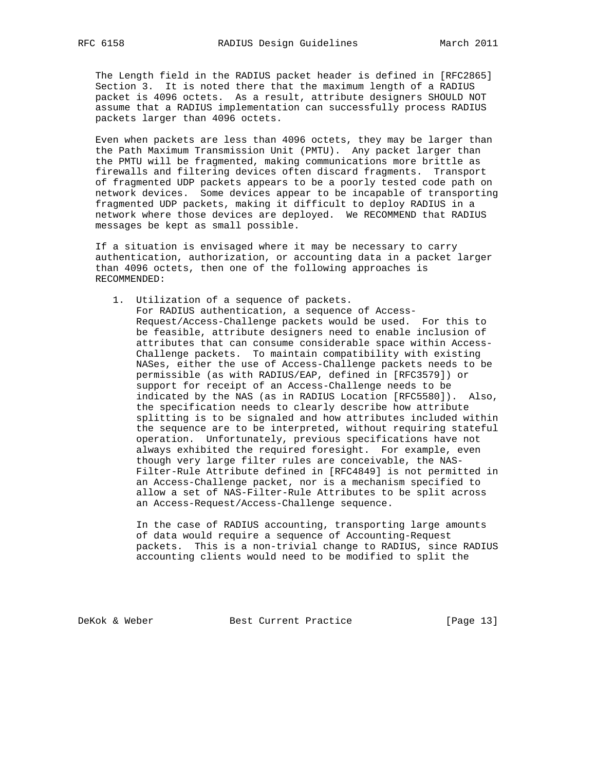The Length field in the RADIUS packet header is defined in [RFC2865] Section 3. It is noted there that the maximum length of a RADIUS packet is 4096 octets. As a result, attribute designers SHOULD NOT assume that a RADIUS implementation can successfully process RADIUS packets larger than 4096 octets.

 Even when packets are less than 4096 octets, they may be larger than the Path Maximum Transmission Unit (PMTU). Any packet larger than the PMTU will be fragmented, making communications more brittle as firewalls and filtering devices often discard fragments. Transport of fragmented UDP packets appears to be a poorly tested code path on network devices. Some devices appear to be incapable of transporting fragmented UDP packets, making it difficult to deploy RADIUS in a network where those devices are deployed. We RECOMMEND that RADIUS messages be kept as small possible.

 If a situation is envisaged where it may be necessary to carry authentication, authorization, or accounting data in a packet larger than 4096 octets, then one of the following approaches is RECOMMENDED:

 1. Utilization of a sequence of packets. For RADIUS authentication, a sequence of Access- Request/Access-Challenge packets would be used. For this to be feasible, attribute designers need to enable inclusion of attributes that can consume considerable space within Access- Challenge packets. To maintain compatibility with existing NASes, either the use of Access-Challenge packets needs to be permissible (as with RADIUS/EAP, defined in [RFC3579]) or support for receipt of an Access-Challenge needs to be indicated by the NAS (as in RADIUS Location [RFC5580]). Also, the specification needs to clearly describe how attribute splitting is to be signaled and how attributes included within the sequence are to be interpreted, without requiring stateful operation. Unfortunately, previous specifications have not always exhibited the required foresight. For example, even though very large filter rules are conceivable, the NAS- Filter-Rule Attribute defined in [RFC4849] is not permitted in an Access-Challenge packet, nor is a mechanism specified to allow a set of NAS-Filter-Rule Attributes to be split across an Access-Request/Access-Challenge sequence.

 In the case of RADIUS accounting, transporting large amounts of data would require a sequence of Accounting-Request packets. This is a non-trivial change to RADIUS, since RADIUS accounting clients would need to be modified to split the

DeKok & Weber Best Current Practice [Page 13]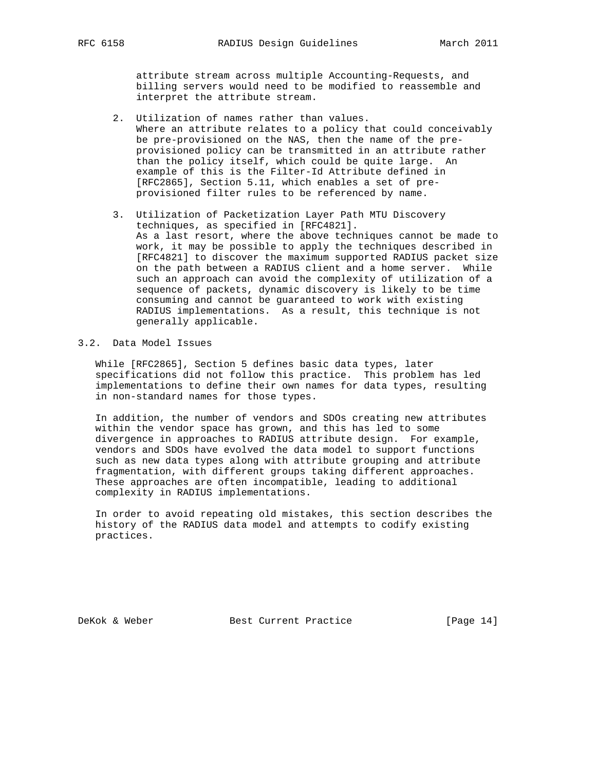attribute stream across multiple Accounting-Requests, and billing servers would need to be modified to reassemble and interpret the attribute stream.

- 2. Utilization of names rather than values. Where an attribute relates to a policy that could conceivably be pre-provisioned on the NAS, then the name of the pre provisioned policy can be transmitted in an attribute rather than the policy itself, which could be quite large. An example of this is the Filter-Id Attribute defined in [RFC2865], Section 5.11, which enables a set of pre provisioned filter rules to be referenced by name.
- 3. Utilization of Packetization Layer Path MTU Discovery techniques, as specified in [RFC4821]. As a last resort, where the above techniques cannot be made to work, it may be possible to apply the techniques described in [RFC4821] to discover the maximum supported RADIUS packet size on the path between a RADIUS client and a home server. While such an approach can avoid the complexity of utilization of a sequence of packets, dynamic discovery is likely to be time consuming and cannot be guaranteed to work with existing RADIUS implementations. As a result, this technique is not generally applicable.

# 3.2. Data Model Issues

 While [RFC2865], Section 5 defines basic data types, later specifications did not follow this practice. This problem has led implementations to define their own names for data types, resulting in non-standard names for those types.

 In addition, the number of vendors and SDOs creating new attributes within the vendor space has grown, and this has led to some divergence in approaches to RADIUS attribute design. For example, vendors and SDOs have evolved the data model to support functions such as new data types along with attribute grouping and attribute fragmentation, with different groups taking different approaches. These approaches are often incompatible, leading to additional complexity in RADIUS implementations.

 In order to avoid repeating old mistakes, this section describes the history of the RADIUS data model and attempts to codify existing practices.

DeKok & Weber Best Current Practice [Page 14]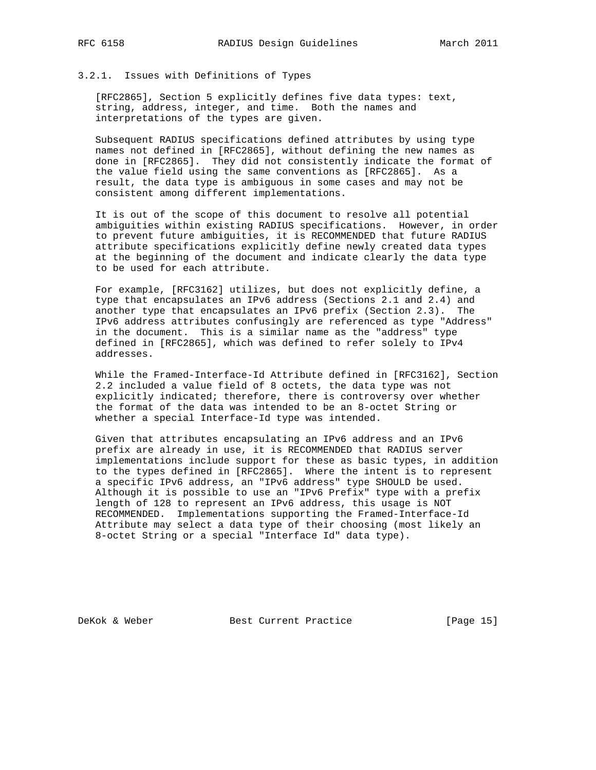3.2.1. Issues with Definitions of Types

 [RFC2865], Section 5 explicitly defines five data types: text, string, address, integer, and time. Both the names and interpretations of the types are given.

 Subsequent RADIUS specifications defined attributes by using type names not defined in [RFC2865], without defining the new names as done in [RFC2865]. They did not consistently indicate the format of the value field using the same conventions as [RFC2865]. As a result, the data type is ambiguous in some cases and may not be consistent among different implementations.

 It is out of the scope of this document to resolve all potential ambiguities within existing RADIUS specifications. However, in order to prevent future ambiguities, it is RECOMMENDED that future RADIUS attribute specifications explicitly define newly created data types at the beginning of the document and indicate clearly the data type to be used for each attribute.

 For example, [RFC3162] utilizes, but does not explicitly define, a type that encapsulates an IPv6 address (Sections 2.1 and 2.4) and another type that encapsulates an IPv6 prefix (Section 2.3). The IPv6 address attributes confusingly are referenced as type "Address" in the document. This is a similar name as the "address" type defined in [RFC2865], which was defined to refer solely to IPv4 addresses.

 While the Framed-Interface-Id Attribute defined in [RFC3162], Section 2.2 included a value field of 8 octets, the data type was not explicitly indicated; therefore, there is controversy over whether the format of the data was intended to be an 8-octet String or whether a special Interface-Id type was intended.

 Given that attributes encapsulating an IPv6 address and an IPv6 prefix are already in use, it is RECOMMENDED that RADIUS server implementations include support for these as basic types, in addition to the types defined in [RFC2865]. Where the intent is to represent a specific IPv6 address, an "IPv6 address" type SHOULD be used. Although it is possible to use an "IPv6 Prefix" type with a prefix length of 128 to represent an IPv6 address, this usage is NOT RECOMMENDED. Implementations supporting the Framed-Interface-Id Attribute may select a data type of their choosing (most likely an 8-octet String or a special "Interface Id" data type).

DeKok & Weber Best Current Practice [Page 15]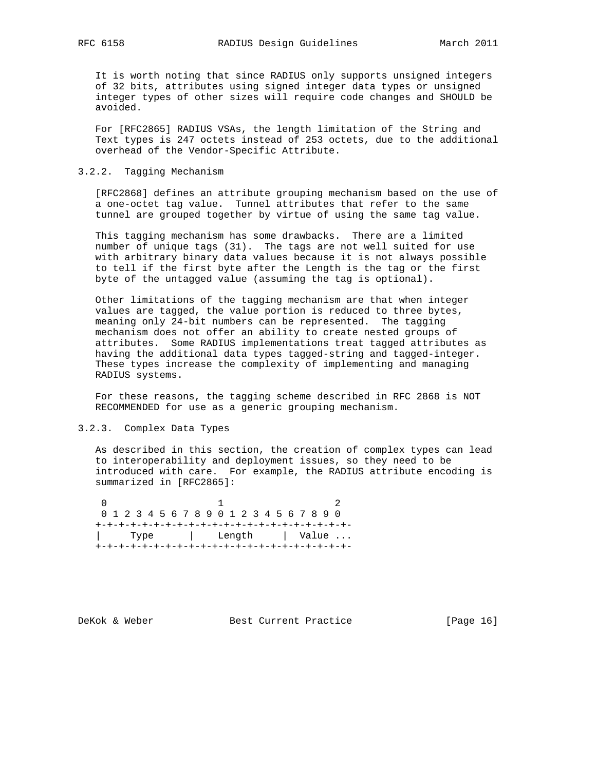It is worth noting that since RADIUS only supports unsigned integers of 32 bits, attributes using signed integer data types or unsigned integer types of other sizes will require code changes and SHOULD be avoided.

 For [RFC2865] RADIUS VSAs, the length limitation of the String and Text types is 247 octets instead of 253 octets, due to the additional overhead of the Vendor-Specific Attribute.

## 3.2.2. Tagging Mechanism

 [RFC2868] defines an attribute grouping mechanism based on the use of a one-octet tag value. Tunnel attributes that refer to the same tunnel are grouped together by virtue of using the same tag value.

 This tagging mechanism has some drawbacks. There are a limited number of unique tags (31). The tags are not well suited for use with arbitrary binary data values because it is not always possible to tell if the first byte after the Length is the tag or the first byte of the untagged value (assuming the tag is optional).

 Other limitations of the tagging mechanism are that when integer values are tagged, the value portion is reduced to three bytes, meaning only 24-bit numbers can be represented. The tagging mechanism does not offer an ability to create nested groups of attributes. Some RADIUS implementations treat tagged attributes as having the additional data types tagged-string and tagged-integer. These types increase the complexity of implementing and managing RADIUS systems.

 For these reasons, the tagging scheme described in RFC 2868 is NOT RECOMMENDED for use as a generic grouping mechanism.

# 3.2.3. Complex Data Types

 As described in this section, the creation of complex types can lead to interoperability and deployment issues, so they need to be introduced with care. For example, the RADIUS attribute encoding is summarized in [RFC2865]:

|  |  |  |  |  |  |  |  |                       |  |  |  |  |  |  |  |  | 0 1 2 3 4 5 6 7 8 9 0 1 2 3 4 5 6 7 8 9 0 |  |  |  |  |  |
|--|--|--|--|--|--|--|--|-----------------------|--|--|--|--|--|--|--|--|-------------------------------------------|--|--|--|--|--|
|  |  |  |  |  |  |  |  |                       |  |  |  |  |  |  |  |  |                                           |  |  |  |  |  |
|  |  |  |  |  |  |  |  | Type   Length   Value |  |  |  |  |  |  |  |  |                                           |  |  |  |  |  |
|  |  |  |  |  |  |  |  |                       |  |  |  |  |  |  |  |  |                                           |  |  |  |  |  |

DeKok & Weber Best Current Practice [Page 16]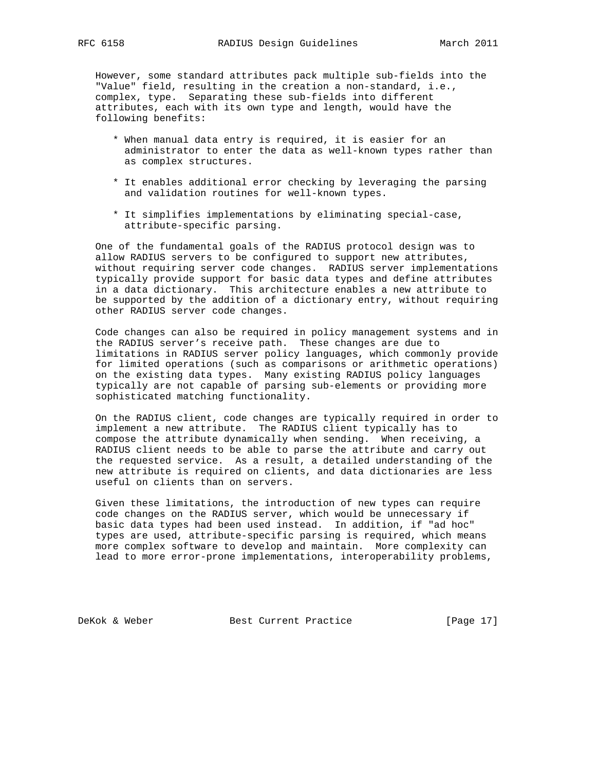However, some standard attributes pack multiple sub-fields into the "Value" field, resulting in the creation a non-standard, i.e., complex, type. Separating these sub-fields into different attributes, each with its own type and length, would have the following benefits:

- \* When manual data entry is required, it is easier for an administrator to enter the data as well-known types rather than as complex structures.
- \* It enables additional error checking by leveraging the parsing and validation routines for well-known types.
- \* It simplifies implementations by eliminating special-case, attribute-specific parsing.

 One of the fundamental goals of the RADIUS protocol design was to allow RADIUS servers to be configured to support new attributes, without requiring server code changes. RADIUS server implementations typically provide support for basic data types and define attributes in a data dictionary. This architecture enables a new attribute to be supported by the addition of a dictionary entry, without requiring other RADIUS server code changes.

 Code changes can also be required in policy management systems and in the RADIUS server's receive path. These changes are due to limitations in RADIUS server policy languages, which commonly provide for limited operations (such as comparisons or arithmetic operations) on the existing data types. Many existing RADIUS policy languages typically are not capable of parsing sub-elements or providing more sophisticated matching functionality.

 On the RADIUS client, code changes are typically required in order to implement a new attribute. The RADIUS client typically has to compose the attribute dynamically when sending. When receiving, a RADIUS client needs to be able to parse the attribute and carry out the requested service. As a result, a detailed understanding of the new attribute is required on clients, and data dictionaries are less useful on clients than on servers.

 Given these limitations, the introduction of new types can require code changes on the RADIUS server, which would be unnecessary if basic data types had been used instead. In addition, if "ad hoc" types are used, attribute-specific parsing is required, which means more complex software to develop and maintain. More complexity can lead to more error-prone implementations, interoperability problems,

DeKok & Weber Best Current Practice [Page 17]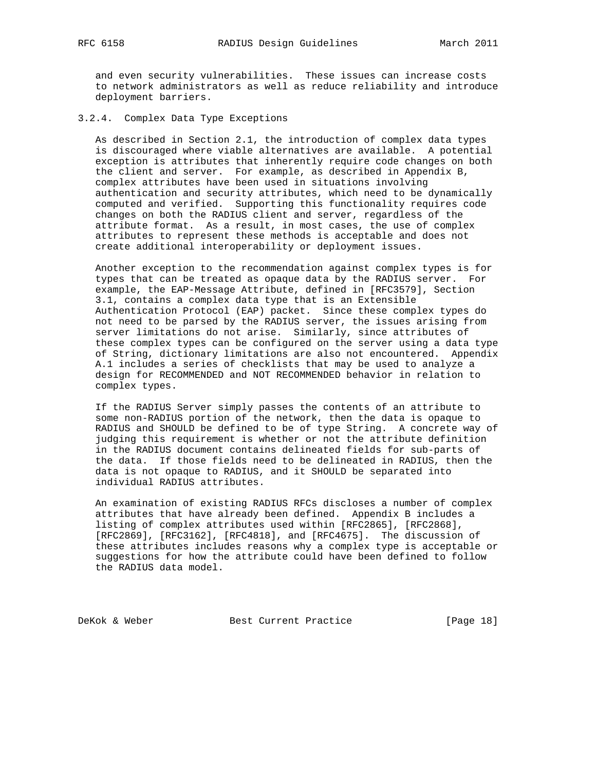and even security vulnerabilities. These issues can increase costs to network administrators as well as reduce reliability and introduce deployment barriers.

# 3.2.4. Complex Data Type Exceptions

 As described in Section 2.1, the introduction of complex data types is discouraged where viable alternatives are available. A potential exception is attributes that inherently require code changes on both the client and server. For example, as described in Appendix B, complex attributes have been used in situations involving authentication and security attributes, which need to be dynamically computed and verified. Supporting this functionality requires code changes on both the RADIUS client and server, regardless of the attribute format. As a result, in most cases, the use of complex attributes to represent these methods is acceptable and does not create additional interoperability or deployment issues.

 Another exception to the recommendation against complex types is for types that can be treated as opaque data by the RADIUS server. For example, the EAP-Message Attribute, defined in [RFC3579], Section 3.1, contains a complex data type that is an Extensible Authentication Protocol (EAP) packet. Since these complex types do not need to be parsed by the RADIUS server, the issues arising from server limitations do not arise. Similarly, since attributes of these complex types can be configured on the server using a data type of String, dictionary limitations are also not encountered. Appendix A.1 includes a series of checklists that may be used to analyze a design for RECOMMENDED and NOT RECOMMENDED behavior in relation to complex types.

 If the RADIUS Server simply passes the contents of an attribute to some non-RADIUS portion of the network, then the data is opaque to RADIUS and SHOULD be defined to be of type String. A concrete way of judging this requirement is whether or not the attribute definition in the RADIUS document contains delineated fields for sub-parts of the data. If those fields need to be delineated in RADIUS, then the data is not opaque to RADIUS, and it SHOULD be separated into individual RADIUS attributes.

 An examination of existing RADIUS RFCs discloses a number of complex attributes that have already been defined. Appendix B includes a listing of complex attributes used within [RFC2865], [RFC2868], [RFC2869], [RFC3162], [RFC4818], and [RFC4675]. The discussion of these attributes includes reasons why a complex type is acceptable or suggestions for how the attribute could have been defined to follow the RADIUS data model.

DeKok & Weber Best Current Practice [Page 18]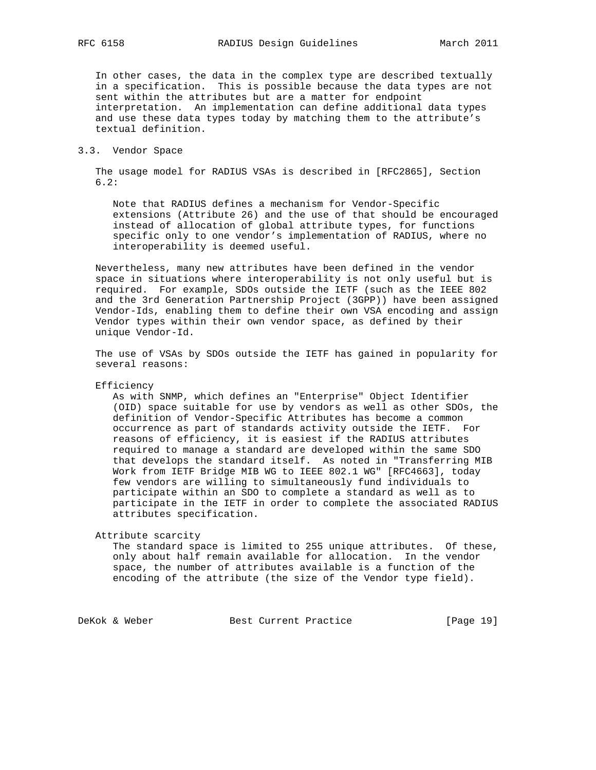In other cases, the data in the complex type are described textually in a specification. This is possible because the data types are not sent within the attributes but are a matter for endpoint interpretation. An implementation can define additional data types and use these data types today by matching them to the attribute's textual definition.

#### 3.3. Vendor Space

 The usage model for RADIUS VSAs is described in [RFC2865], Section 6.2:

 Note that RADIUS defines a mechanism for Vendor-Specific extensions (Attribute 26) and the use of that should be encouraged instead of allocation of global attribute types, for functions specific only to one vendor's implementation of RADIUS, where no interoperability is deemed useful.

 Nevertheless, many new attributes have been defined in the vendor space in situations where interoperability is not only useful but is required. For example, SDOs outside the IETF (such as the IEEE 802 and the 3rd Generation Partnership Project (3GPP)) have been assigned Vendor-Ids, enabling them to define their own VSA encoding and assign Vendor types within their own vendor space, as defined by their unique Vendor-Id.

 The use of VSAs by SDOs outside the IETF has gained in popularity for several reasons:

Efficiency

 As with SNMP, which defines an "Enterprise" Object Identifier (OID) space suitable for use by vendors as well as other SDOs, the definition of Vendor-Specific Attributes has become a common occurrence as part of standards activity outside the IETF. For reasons of efficiency, it is easiest if the RADIUS attributes required to manage a standard are developed within the same SDO that develops the standard itself. As noted in "Transferring MIB Work from IETF Bridge MIB WG to IEEE 802.1 WG" [RFC4663], today few vendors are willing to simultaneously fund individuals to participate within an SDO to complete a standard as well as to participate in the IETF in order to complete the associated RADIUS attributes specification.

Attribute scarcity

 The standard space is limited to 255 unique attributes. Of these, only about half remain available for allocation. In the vendor space, the number of attributes available is a function of the encoding of the attribute (the size of the Vendor type field).

DeKok & Weber Best Current Practice [Page 19]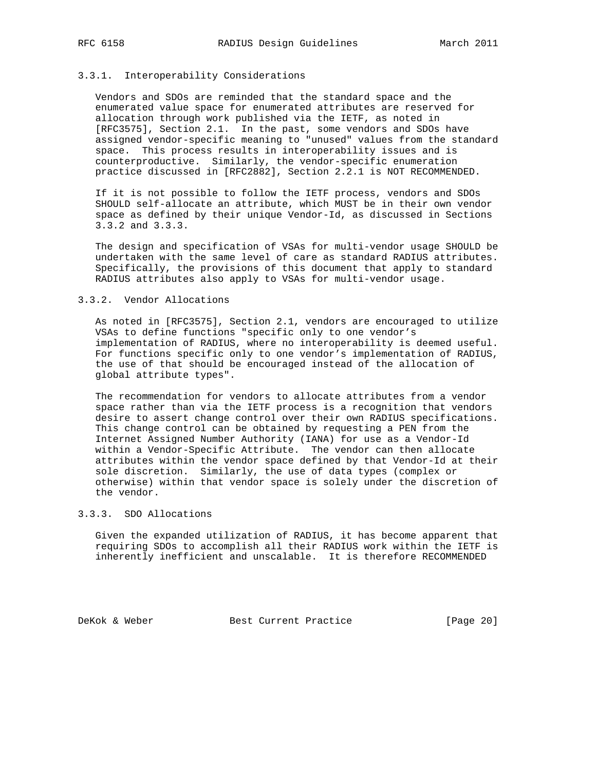#### 3.3.1. Interoperability Considerations

 Vendors and SDOs are reminded that the standard space and the enumerated value space for enumerated attributes are reserved for allocation through work published via the IETF, as noted in [RFC3575], Section 2.1. In the past, some vendors and SDOs have assigned vendor-specific meaning to "unused" values from the standard space. This process results in interoperability issues and is counterproductive. Similarly, the vendor-specific enumeration practice discussed in [RFC2882], Section 2.2.1 is NOT RECOMMENDED.

 If it is not possible to follow the IETF process, vendors and SDOs SHOULD self-allocate an attribute, which MUST be in their own vendor space as defined by their unique Vendor-Id, as discussed in Sections 3.3.2 and 3.3.3.

 The design and specification of VSAs for multi-vendor usage SHOULD be undertaken with the same level of care as standard RADIUS attributes. Specifically, the provisions of this document that apply to standard RADIUS attributes also apply to VSAs for multi-vendor usage.

## 3.3.2. Vendor Allocations

 As noted in [RFC3575], Section 2.1, vendors are encouraged to utilize VSAs to define functions "specific only to one vendor's implementation of RADIUS, where no interoperability is deemed useful. For functions specific only to one vendor's implementation of RADIUS, the use of that should be encouraged instead of the allocation of global attribute types".

 The recommendation for vendors to allocate attributes from a vendor space rather than via the IETF process is a recognition that vendors desire to assert change control over their own RADIUS specifications. This change control can be obtained by requesting a PEN from the Internet Assigned Number Authority (IANA) for use as a Vendor-Id within a Vendor-Specific Attribute. The vendor can then allocate attributes within the vendor space defined by that Vendor-Id at their sole discretion. Similarly, the use of data types (complex or otherwise) within that vendor space is solely under the discretion of the vendor.

# 3.3.3. SDO Allocations

 Given the expanded utilization of RADIUS, it has become apparent that requiring SDOs to accomplish all their RADIUS work within the IETF is inherently inefficient and unscalable. It is therefore RECOMMENDED

DeKok & Weber Best Current Practice [Page 20]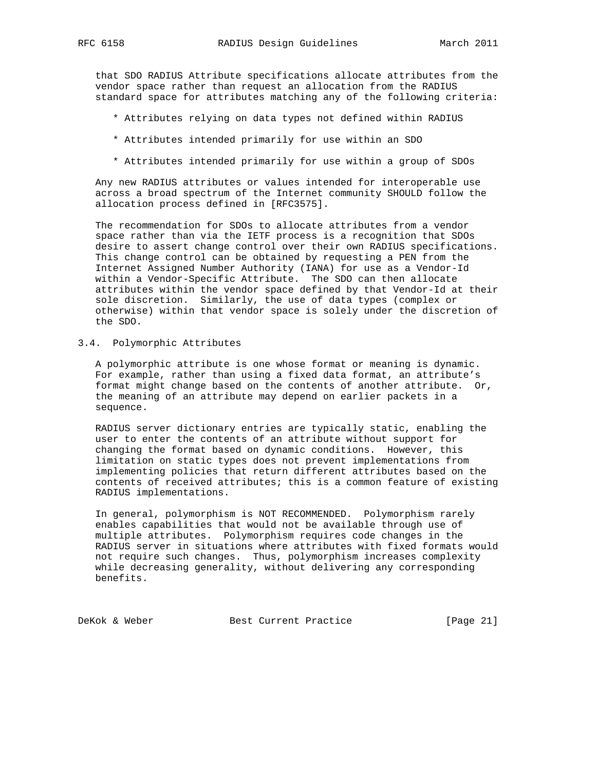that SDO RADIUS Attribute specifications allocate attributes from the vendor space rather than request an allocation from the RADIUS standard space for attributes matching any of the following criteria:

- \* Attributes relying on data types not defined within RADIUS
- \* Attributes intended primarily for use within an SDO
- \* Attributes intended primarily for use within a group of SDOs

 Any new RADIUS attributes or values intended for interoperable use across a broad spectrum of the Internet community SHOULD follow the allocation process defined in [RFC3575].

 The recommendation for SDOs to allocate attributes from a vendor space rather than via the IETF process is a recognition that SDOs desire to assert change control over their own RADIUS specifications. This change control can be obtained by requesting a PEN from the Internet Assigned Number Authority (IANA) for use as a Vendor-Id within a Vendor-Specific Attribute. The SDO can then allocate attributes within the vendor space defined by that Vendor-Id at their sole discretion. Similarly, the use of data types (complex or otherwise) within that vendor space is solely under the discretion of the SDO.

3.4. Polymorphic Attributes

 A polymorphic attribute is one whose format or meaning is dynamic. For example, rather than using a fixed data format, an attribute's format might change based on the contents of another attribute. Or, the meaning of an attribute may depend on earlier packets in a sequence.

 RADIUS server dictionary entries are typically static, enabling the user to enter the contents of an attribute without support for changing the format based on dynamic conditions. However, this limitation on static types does not prevent implementations from implementing policies that return different attributes based on the contents of received attributes; this is a common feature of existing RADIUS implementations.

 In general, polymorphism is NOT RECOMMENDED. Polymorphism rarely enables capabilities that would not be available through use of multiple attributes. Polymorphism requires code changes in the RADIUS server in situations where attributes with fixed formats would not require such changes. Thus, polymorphism increases complexity while decreasing generality, without delivering any corresponding benefits.

DeKok & Weber Best Current Practice [Page 21]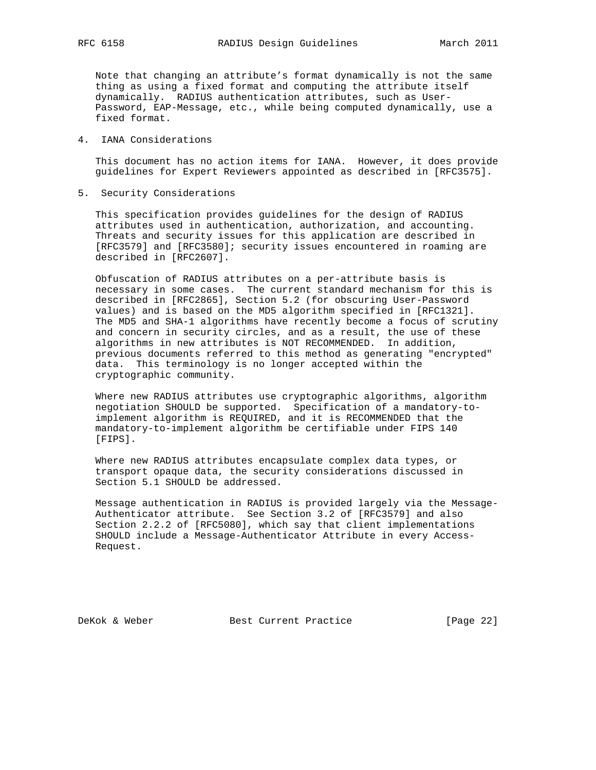Note that changing an attribute's format dynamically is not the same thing as using a fixed format and computing the attribute itself dynamically. RADIUS authentication attributes, such as User- Password, EAP-Message, etc., while being computed dynamically, use a fixed format.

#### 4. IANA Considerations

 This document has no action items for IANA. However, it does provide guidelines for Expert Reviewers appointed as described in [RFC3575].

5. Security Considerations

 This specification provides guidelines for the design of RADIUS attributes used in authentication, authorization, and accounting. Threats and security issues for this application are described in [RFC3579] and [RFC3580]; security issues encountered in roaming are described in [RFC2607].

 Obfuscation of RADIUS attributes on a per-attribute basis is necessary in some cases. The current standard mechanism for this is described in [RFC2865], Section 5.2 (for obscuring User-Password values) and is based on the MD5 algorithm specified in [RFC1321]. The MD5 and SHA-1 algorithms have recently become a focus of scrutiny and concern in security circles, and as a result, the use of these algorithms in new attributes is NOT RECOMMENDED. In addition, previous documents referred to this method as generating "encrypted" data. This terminology is no longer accepted within the cryptographic community.

 Where new RADIUS attributes use cryptographic algorithms, algorithm negotiation SHOULD be supported. Specification of a mandatory-to implement algorithm is REQUIRED, and it is RECOMMENDED that the mandatory-to-implement algorithm be certifiable under FIPS 140 [FIPS].

 Where new RADIUS attributes encapsulate complex data types, or transport opaque data, the security considerations discussed in Section 5.1 SHOULD be addressed.

 Message authentication in RADIUS is provided largely via the Message- Authenticator attribute. See Section 3.2 of [RFC3579] and also Section 2.2.2 of [RFC5080], which say that client implementations SHOULD include a Message-Authenticator Attribute in every Access- Request.

DeKok & Weber Best Current Practice [Page 22]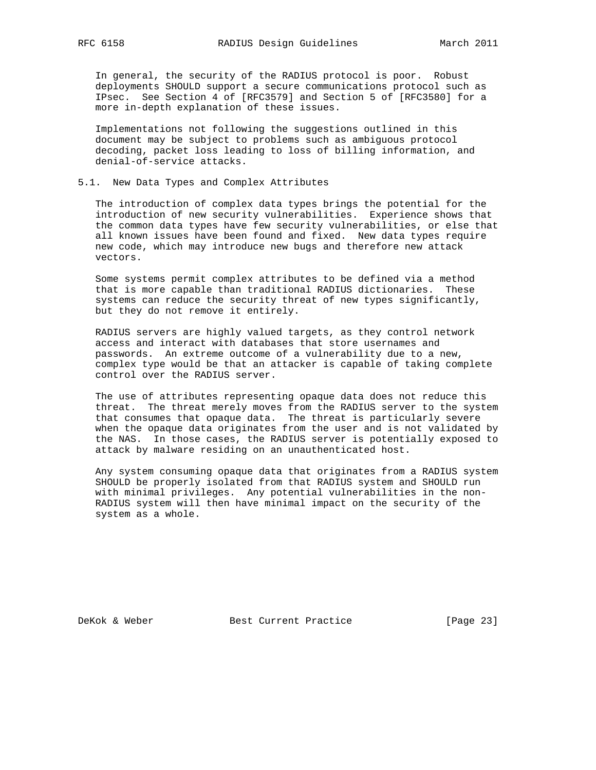In general, the security of the RADIUS protocol is poor. Robust deployments SHOULD support a secure communications protocol such as IPsec. See Section 4 of [RFC3579] and Section 5 of [RFC3580] for a more in-depth explanation of these issues.

 Implementations not following the suggestions outlined in this document may be subject to problems such as ambiguous protocol decoding, packet loss leading to loss of billing information, and denial-of-service attacks.

## 5.1. New Data Types and Complex Attributes

 The introduction of complex data types brings the potential for the introduction of new security vulnerabilities. Experience shows that the common data types have few security vulnerabilities, or else that all known issues have been found and fixed. New data types require new code, which may introduce new bugs and therefore new attack vectors.

 Some systems permit complex attributes to be defined via a method that is more capable than traditional RADIUS dictionaries. These systems can reduce the security threat of new types significantly, but they do not remove it entirely.

 RADIUS servers are highly valued targets, as they control network access and interact with databases that store usernames and passwords. An extreme outcome of a vulnerability due to a new, complex type would be that an attacker is capable of taking complete control over the RADIUS server.

 The use of attributes representing opaque data does not reduce this threat. The threat merely moves from the RADIUS server to the system that consumes that opaque data. The threat is particularly severe when the opaque data originates from the user and is not validated by the NAS. In those cases, the RADIUS server is potentially exposed to attack by malware residing on an unauthenticated host.

 Any system consuming opaque data that originates from a RADIUS system SHOULD be properly isolated from that RADIUS system and SHOULD run with minimal privileges. Any potential vulnerabilities in the non- RADIUS system will then have minimal impact on the security of the system as a whole.

DeKok & Weber Best Current Practice [Page 23]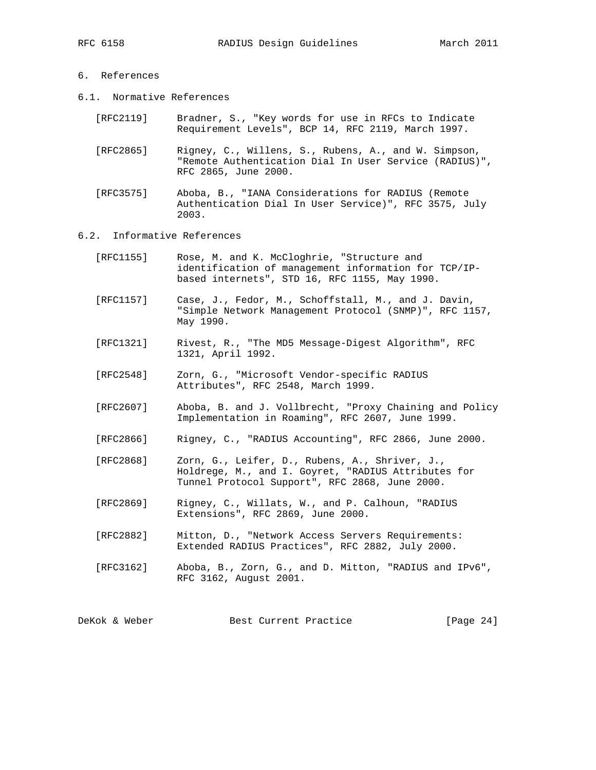- 6. References
- 6.1. Normative References
	- [RFC2119] Bradner, S., "Key words for use in RFCs to Indicate Requirement Levels", BCP 14, RFC 2119, March 1997.
	- [RFC2865] Rigney, C., Willens, S., Rubens, A., and W. Simpson, "Remote Authentication Dial In User Service (RADIUS)", RFC 2865, June 2000.
	- [RFC3575] Aboba, B., "IANA Considerations for RADIUS (Remote Authentication Dial In User Service)", RFC 3575, July 2003.

## 6.2. Informative References

| [RFC1155] | Rose, M. and K. McCloghrie, "Structure and           |
|-----------|------------------------------------------------------|
|           | identification of management information for TCP/IP- |
|           | based internets", STD 16, RFC 1155, May 1990.        |
|           |                                                      |

- [RFC1157] Case, J., Fedor, M., Schoffstall, M., and J. Davin, "Simple Network Management Protocol (SNMP)", RFC 1157, May 1990.
- [RFC1321] Rivest, R., "The MD5 Message-Digest Algorithm", RFC 1321, April 1992.
- [RFC2548] Zorn, G., "Microsoft Vendor-specific RADIUS Attributes", RFC 2548, March 1999.
- [RFC2607] Aboba, B. and J. Vollbrecht, "Proxy Chaining and Policy Implementation in Roaming", RFC 2607, June 1999.
- [RFC2866] Rigney, C., "RADIUS Accounting", RFC 2866, June 2000.
- [RFC2868] Zorn, G., Leifer, D., Rubens, A., Shriver, J., Holdrege, M., and I. Goyret, "RADIUS Attributes for Tunnel Protocol Support", RFC 2868, June 2000.
- [RFC2869] Rigney, C., Willats, W., and P. Calhoun, "RADIUS Extensions", RFC 2869, June 2000.
- [RFC2882] Mitton, D., "Network Access Servers Requirements: Extended RADIUS Practices", RFC 2882, July 2000.
- [RFC3162] Aboba, B., Zorn, G., and D. Mitton, "RADIUS and IPv6", RFC 3162, August 2001.

DeKok & Weber Best Current Practice [Page 24]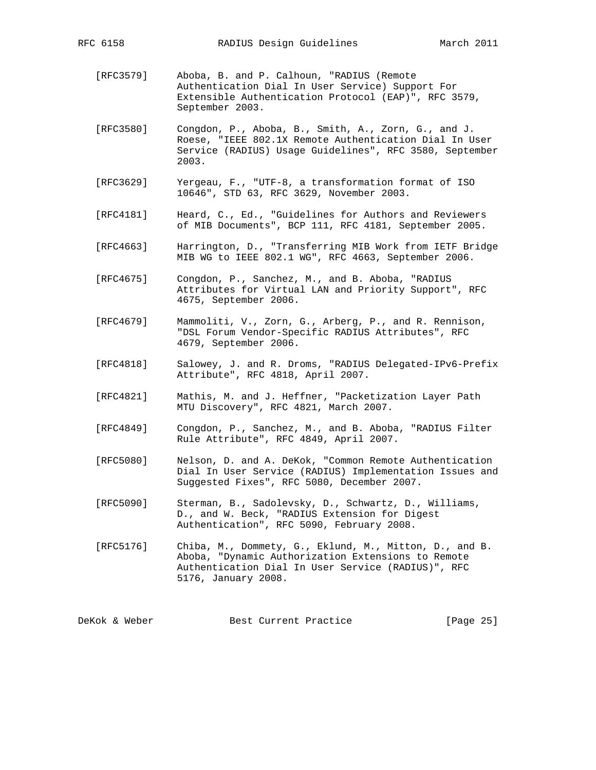- [RFC3579] Aboba, B. and P. Calhoun, "RADIUS (Remote Authentication Dial In User Service) Support For Extensible Authentication Protocol (EAP)", RFC 3579, September 2003.
- [RFC3580] Congdon, P., Aboba, B., Smith, A., Zorn, G., and J. Roese, "IEEE 802.1X Remote Authentication Dial In User Service (RADIUS) Usage Guidelines", RFC 3580, September 2003.
- [RFC3629] Yergeau, F., "UTF-8, a transformation format of ISO 10646", STD 63, RFC 3629, November 2003.
- [RFC4181] Heard, C., Ed., "Guidelines for Authors and Reviewers of MIB Documents", BCP 111, RFC 4181, September 2005.
- [RFC4663] Harrington, D., "Transferring MIB Work from IETF Bridge MIB WG to IEEE 802.1 WG", RFC 4663, September 2006.
- [RFC4675] Congdon, P., Sanchez, M., and B. Aboba, "RADIUS Attributes for Virtual LAN and Priority Support", RFC 4675, September 2006.
- [RFC4679] Mammoliti, V., Zorn, G., Arberg, P., and R. Rennison, "DSL Forum Vendor-Specific RADIUS Attributes", RFC 4679, September 2006.
- [RFC4818] Salowey, J. and R. Droms, "RADIUS Delegated-IPv6-Prefix Attribute", RFC 4818, April 2007.
- [RFC4821] Mathis, M. and J. Heffner, "Packetization Layer Path MTU Discovery", RFC 4821, March 2007.
- [RFC4849] Congdon, P., Sanchez, M., and B. Aboba, "RADIUS Filter Rule Attribute", RFC 4849, April 2007.
- [RFC5080] Nelson, D. and A. DeKok, "Common Remote Authentication Dial In User Service (RADIUS) Implementation Issues and Suggested Fixes", RFC 5080, December 2007.
- [RFC5090] Sterman, B., Sadolevsky, D., Schwartz, D., Williams, D., and W. Beck, "RADIUS Extension for Digest Authentication", RFC 5090, February 2008.
- [RFC5176] Chiba, M., Dommety, G., Eklund, M., Mitton, D., and B. Aboba, "Dynamic Authorization Extensions to Remote Authentication Dial In User Service (RADIUS)", RFC 5176, January 2008.

DeKok & Weber Best Current Practice [Page 25]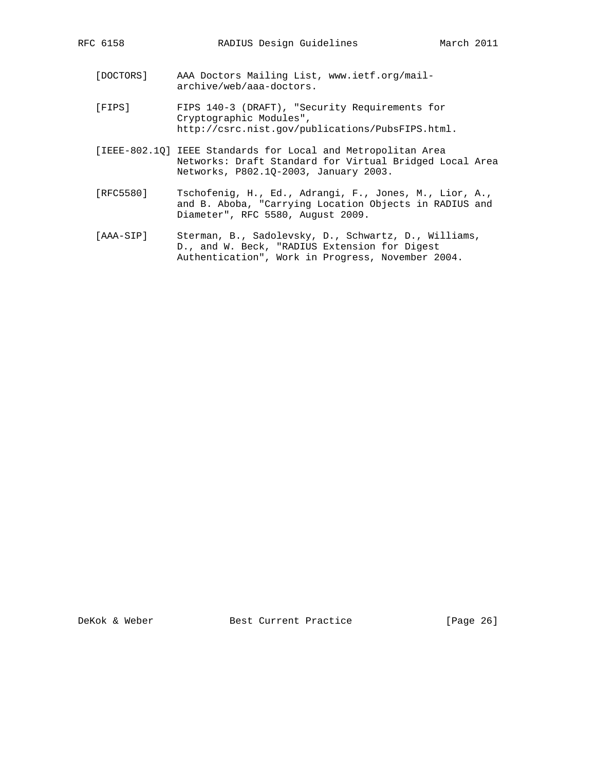- [DOCTORS] AAA Doctors Mailing List, www.ietf.org/mail archive/web/aaa-doctors.
- [FIPS] FIPS 140-3 (DRAFT), "Security Requirements for Cryptographic Modules", http://csrc.nist.gov/publications/PubsFIPS.html.
- [IEEE-802.1Q] IEEE Standards for Local and Metropolitan Area Networks: Draft Standard for Virtual Bridged Local Area Networks, P802.1Q-2003, January 2003.
- [RFC5580] Tschofenig, H., Ed., Adrangi, F., Jones, M., Lior, A., and B. Aboba, "Carrying Location Objects in RADIUS and Diameter", RFC 5580, August 2009.
- [AAA-SIP] Sterman, B., Sadolevsky, D., Schwartz, D., Williams, D., and W. Beck, "RADIUS Extension for Digest Authentication", Work in Progress, November 2004.

DeKok & Weber Best Current Practice [Page 26]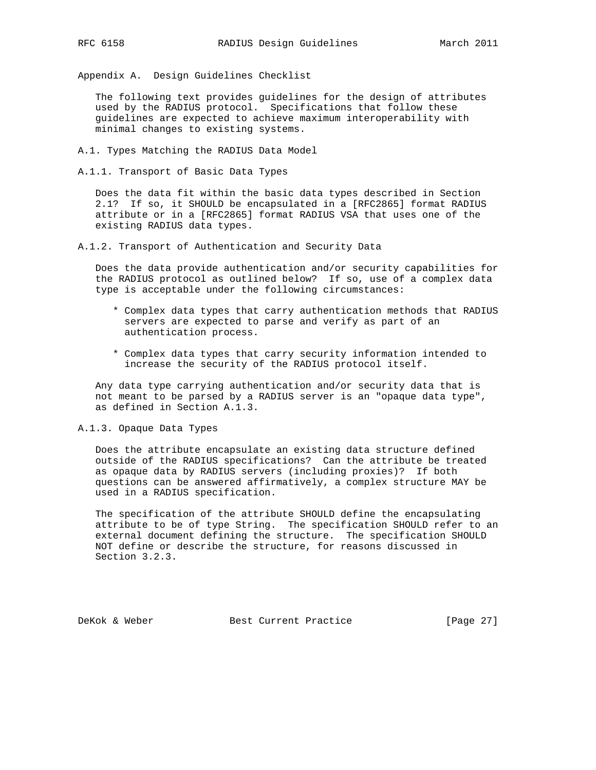Appendix A. Design Guidelines Checklist

 The following text provides guidelines for the design of attributes used by the RADIUS protocol. Specifications that follow these guidelines are expected to achieve maximum interoperability with minimal changes to existing systems.

A.1. Types Matching the RADIUS Data Model

A.1.1. Transport of Basic Data Types

 Does the data fit within the basic data types described in Section 2.1? If so, it SHOULD be encapsulated in a [RFC2865] format RADIUS attribute or in a [RFC2865] format RADIUS VSA that uses one of the existing RADIUS data types.

A.1.2. Transport of Authentication and Security Data

 Does the data provide authentication and/or security capabilities for the RADIUS protocol as outlined below? If so, use of a complex data type is acceptable under the following circumstances:

- \* Complex data types that carry authentication methods that RADIUS servers are expected to parse and verify as part of an authentication process.
- \* Complex data types that carry security information intended to increase the security of the RADIUS protocol itself.

 Any data type carrying authentication and/or security data that is not meant to be parsed by a RADIUS server is an "opaque data type", as defined in Section A.1.3.

# A.1.3. Opaque Data Types

 Does the attribute encapsulate an existing data structure defined outside of the RADIUS specifications? Can the attribute be treated as opaque data by RADIUS servers (including proxies)? If both questions can be answered affirmatively, a complex structure MAY be used in a RADIUS specification.

 The specification of the attribute SHOULD define the encapsulating attribute to be of type String. The specification SHOULD refer to an external document defining the structure. The specification SHOULD NOT define or describe the structure, for reasons discussed in Section 3.2.3.

DeKok & Weber Best Current Practice [Page 27]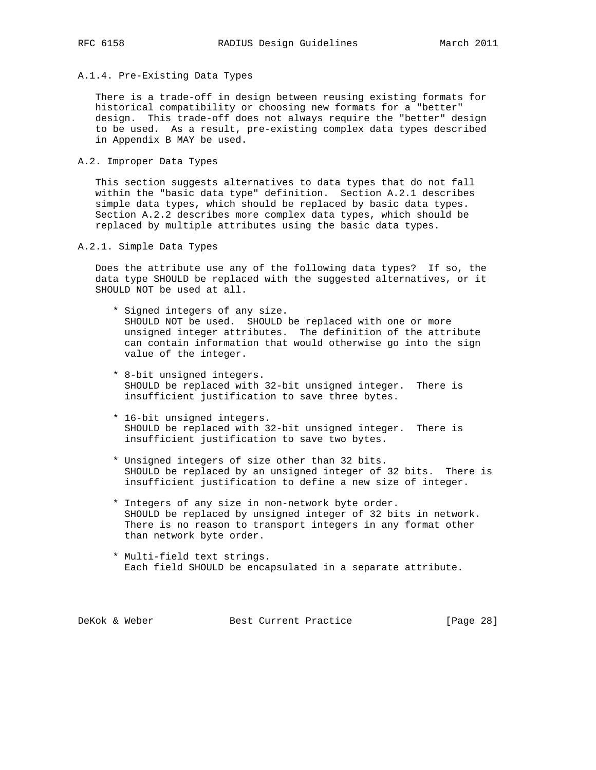- 
- A.1.4. Pre-Existing Data Types

 There is a trade-off in design between reusing existing formats for historical compatibility or choosing new formats for a "better" design. This trade-off does not always require the "better" design to be used. As a result, pre-existing complex data types described in Appendix B MAY be used.

A.2. Improper Data Types

 This section suggests alternatives to data types that do not fall within the "basic data type" definition. Section A.2.1 describes simple data types, which should be replaced by basic data types. Section A.2.2 describes more complex data types, which should be replaced by multiple attributes using the basic data types.

A.2.1. Simple Data Types

 Does the attribute use any of the following data types? If so, the data type SHOULD be replaced with the suggested alternatives, or it SHOULD NOT be used at all.

- \* Signed integers of any size. SHOULD NOT be used. SHOULD be replaced with one or more unsigned integer attributes. The definition of the attribute can contain information that would otherwise go into the sign value of the integer.
- \* 8-bit unsigned integers. SHOULD be replaced with 32-bit unsigned integer. There is insufficient justification to save three bytes.
- \* 16-bit unsigned integers. SHOULD be replaced with 32-bit unsigned integer. There is insufficient justification to save two bytes.
- \* Unsigned integers of size other than 32 bits. SHOULD be replaced by an unsigned integer of 32 bits. There is insufficient justification to define a new size of integer.
- \* Integers of any size in non-network byte order. SHOULD be replaced by unsigned integer of 32 bits in network. There is no reason to transport integers in any format other than network byte order.
- \* Multi-field text strings. Each field SHOULD be encapsulated in a separate attribute.

| DeKok & Weber<br>Best Current Practice | [Page 28] |  |  |
|----------------------------------------|-----------|--|--|
|----------------------------------------|-----------|--|--|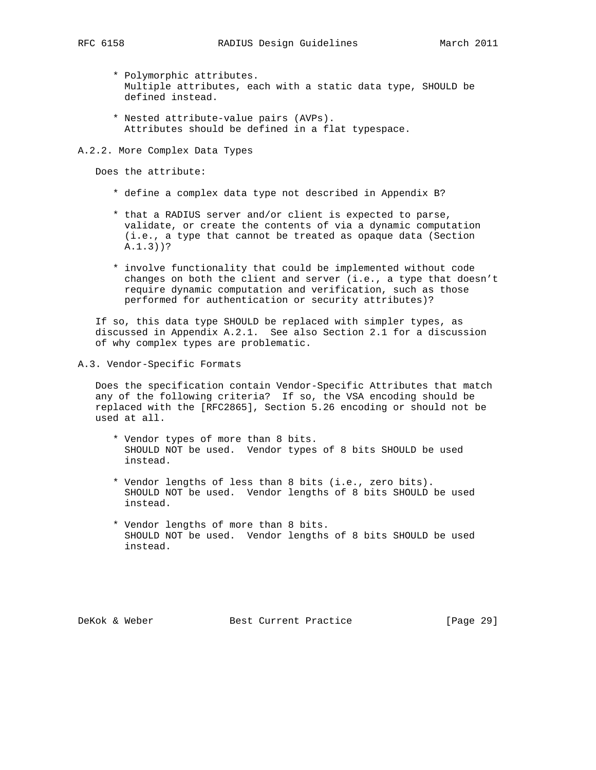- \* Polymorphic attributes. Multiple attributes, each with a static data type, SHOULD be defined instead.
- \* Nested attribute-value pairs (AVPs). Attributes should be defined in a flat typespace.
- A.2.2. More Complex Data Types

Does the attribute:

- \* define a complex data type not described in Appendix B?
- \* that a RADIUS server and/or client is expected to parse, validate, or create the contents of via a dynamic computation (i.e., a type that cannot be treated as opaque data (Section A.1.3))?
- \* involve functionality that could be implemented without code changes on both the client and server (i.e., a type that doesn't require dynamic computation and verification, such as those performed for authentication or security attributes)?

 If so, this data type SHOULD be replaced with simpler types, as discussed in Appendix A.2.1. See also Section 2.1 for a discussion of why complex types are problematic.

A.3. Vendor-Specific Formats

 Does the specification contain Vendor-Specific Attributes that match any of the following criteria? If so, the VSA encoding should be replaced with the [RFC2865], Section 5.26 encoding or should not be used at all.

- \* Vendor types of more than 8 bits. SHOULD NOT be used. Vendor types of 8 bits SHOULD be used instead.
- \* Vendor lengths of less than 8 bits (i.e., zero bits). SHOULD NOT be used. Vendor lengths of 8 bits SHOULD be used instead.
- \* Vendor lengths of more than 8 bits. SHOULD NOT be used. Vendor lengths of 8 bits SHOULD be used instead.

DeKok & Weber Best Current Practice [Page 29]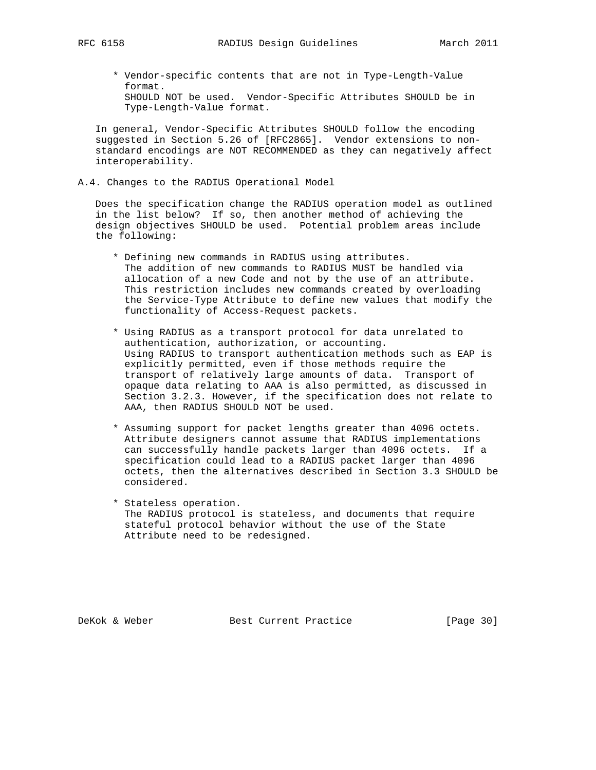\* Vendor-specific contents that are not in Type-Length-Value format. SHOULD NOT be used. Vendor-Specific Attributes SHOULD be in Type-Length-Value format.

 In general, Vendor-Specific Attributes SHOULD follow the encoding suggested in Section 5.26 of [RFC2865]. Vendor extensions to non standard encodings are NOT RECOMMENDED as they can negatively affect interoperability.

A.4. Changes to the RADIUS Operational Model

 Does the specification change the RADIUS operation model as outlined in the list below? If so, then another method of achieving the design objectives SHOULD be used. Potential problem areas include the following:

- \* Defining new commands in RADIUS using attributes. The addition of new commands to RADIUS MUST be handled via allocation of a new Code and not by the use of an attribute. This restriction includes new commands created by overloading the Service-Type Attribute to define new values that modify the functionality of Access-Request packets.
- \* Using RADIUS as a transport protocol for data unrelated to authentication, authorization, or accounting. Using RADIUS to transport authentication methods such as EAP is explicitly permitted, even if those methods require the transport of relatively large amounts of data. Transport of opaque data relating to AAA is also permitted, as discussed in Section 3.2.3. However, if the specification does not relate to AAA, then RADIUS SHOULD NOT be used.
- \* Assuming support for packet lengths greater than 4096 octets. Attribute designers cannot assume that RADIUS implementations can successfully handle packets larger than 4096 octets. If a specification could lead to a RADIUS packet larger than 4096 octets, then the alternatives described in Section 3.3 SHOULD be considered.
- \* Stateless operation. The RADIUS protocol is stateless, and documents that require stateful protocol behavior without the use of the State Attribute need to be redesigned.

DeKok & Weber Best Current Practice [Page 30]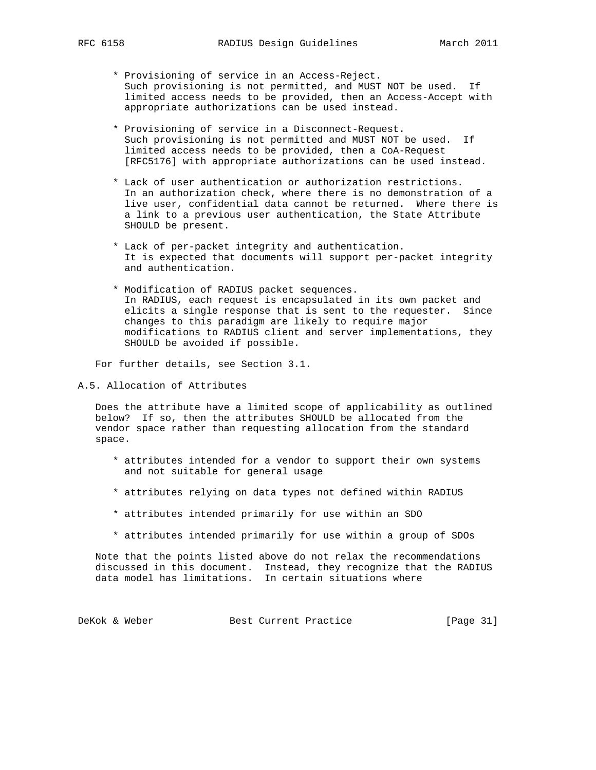- \* Provisioning of service in an Access-Reject. Such provisioning is not permitted, and MUST NOT be used. If limited access needs to be provided, then an Access-Accept with appropriate authorizations can be used instead.
- \* Provisioning of service in a Disconnect-Request. Such provisioning is not permitted and MUST NOT be used. If limited access needs to be provided, then a CoA-Request [RFC5176] with appropriate authorizations can be used instead.
- \* Lack of user authentication or authorization restrictions. In an authorization check, where there is no demonstration of a live user, confidential data cannot be returned. Where there is a link to a previous user authentication, the State Attribute SHOULD be present.
- \* Lack of per-packet integrity and authentication. It is expected that documents will support per-packet integrity and authentication.
- \* Modification of RADIUS packet sequences. In RADIUS, each request is encapsulated in its own packet and elicits a single response that is sent to the requester. Since changes to this paradigm are likely to require major modifications to RADIUS client and server implementations, they SHOULD be avoided if possible.

For further details, see Section 3.1.

A.5. Allocation of Attributes

 Does the attribute have a limited scope of applicability as outlined below? If so, then the attributes SHOULD be allocated from the vendor space rather than requesting allocation from the standard space.

- \* attributes intended for a vendor to support their own systems and not suitable for general usage
- \* attributes relying on data types not defined within RADIUS
- \* attributes intended primarily for use within an SDO
- \* attributes intended primarily for use within a group of SDOs

 Note that the points listed above do not relax the recommendations discussed in this document. Instead, they recognize that the RADIUS data model has limitations. In certain situations where

DeKok & Weber Best Current Practice [Page 31]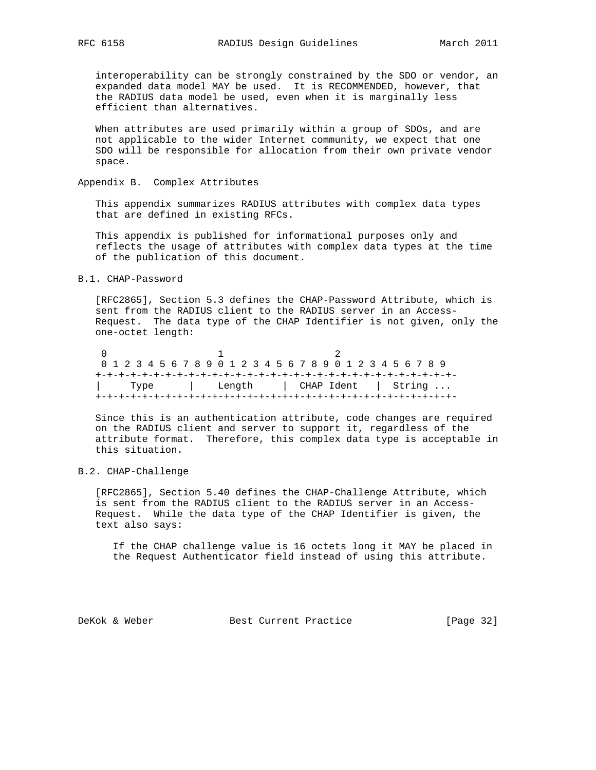interoperability can be strongly constrained by the SDO or vendor, an expanded data model MAY be used. It is RECOMMENDED, however, that the RADIUS data model be used, even when it is marginally less efficient than alternatives.

 When attributes are used primarily within a group of SDOs, and are not applicable to the wider Internet community, we expect that one SDO will be responsible for allocation from their own private vendor space.

Appendix B. Complex Attributes

 This appendix summarizes RADIUS attributes with complex data types that are defined in existing RFCs.

 This appendix is published for informational purposes only and reflects the usage of attributes with complex data types at the time of the publication of this document.

#### B.1. CHAP-Password

 [RFC2865], Section 5.3 defines the CHAP-Password Attribute, which is sent from the RADIUS client to the RADIUS server in an Access- Request. The data type of the CHAP Identifier is not given, only the one-octet length:

 $\begin{array}{ccc} 0 & 1 & 2 \end{array}$  0 1 2 3 4 5 6 7 8 9 0 1 2 3 4 5 6 7 8 9 0 1 2 3 4 5 6 7 8 9 +-+-+-+-+-+-+-+-+-+-+-+-+-+-+-+-+-+-+-+-+-+-+-+-+-+-+-+-+-+-+- | Type | Length | CHAP Ident | String ... +-+-+-+-+-+-+-+-+-+-+-+-+-+-+-+-+-+-+-+-+-+-+-+-+-+-+-+-+-+-+-

 Since this is an authentication attribute, code changes are required on the RADIUS client and server to support it, regardless of the attribute format. Therefore, this complex data type is acceptable in this situation.

#### B.2. CHAP-Challenge

 [RFC2865], Section 5.40 defines the CHAP-Challenge Attribute, which is sent from the RADIUS client to the RADIUS server in an Access- Request. While the data type of the CHAP Identifier is given, the text also says:

 If the CHAP challenge value is 16 octets long it MAY be placed in the Request Authenticator field instead of using this attribute.

DeKok & Weber Best Current Practice [Page 32]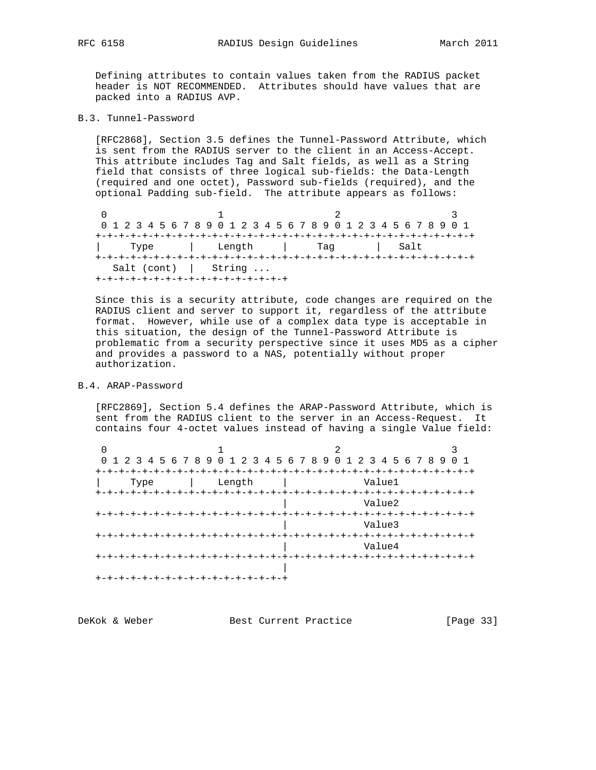Defining attributes to contain values taken from the RADIUS packet header is NOT RECOMMENDED. Attributes should have values that are packed into a RADIUS AVP.

B.3. Tunnel-Password

 [RFC2868], Section 3.5 defines the Tunnel-Password Attribute, which is sent from the RADIUS server to the client in an Access-Accept. This attribute includes Tag and Salt fields, as well as a String field that consists of three logical sub-fields: the Data-Length (required and one octet), Password sub-fields (required), and the optional Padding sub-field. The attribute appears as follows:

0  $1$  2 3 0 1 2 3 4 5 6 7 8 9 0 1 2 3 4 5 6 7 8 9 0 1 2 3 4 5 6 7 8 9 0 1 +-+-+-+-+-+-+-+-+-+-+-+-+-+-+-+-+-+-+-+-+-+-+-+-+-+-+-+-+-+-+-+-+ | Type | Length | Tag | Salt +-+-+-+-+-+-+-+-+-+-+-+-+-+-+-+-+-+-+-+-+-+-+-+-+-+-+-+-+-+-+-+-+ Salt (cont) | String ... +-+-+-+-+-+-+-+-+-+-+-+-+-+-+-+-+

 Since this is a security attribute, code changes are required on the RADIUS client and server to support it, regardless of the attribute format. However, while use of a complex data type is acceptable in this situation, the design of the Tunnel-Password Attribute is problematic from a security perspective since it uses MD5 as a cipher and provides a password to a NAS, potentially without proper authorization.

#### B.4. ARAP-Password

 [RFC2869], Section 5.4 defines the ARAP-Password Attribute, which is sent from the RADIUS client to the server in an Access-Request. It contains four 4-octet values instead of having a single Value field:

|                                    |        | 0 1 2 3 4 5 6 7 8 9 0 1 2 3 4 5 6 7 8 9 0 1 2 3 4 5 6 7 8 9 |        |
|------------------------------------|--------|-------------------------------------------------------------|--------|
|                                    |        |                                                             |        |
| Type                               | Length |                                                             | Value1 |
|                                    |        |                                                             |        |
|                                    |        |                                                             | Value2 |
|                                    |        |                                                             |        |
|                                    |        |                                                             | Value3 |
|                                    |        |                                                             |        |
|                                    |        |                                                             | Value4 |
|                                    |        |                                                             |        |
|                                    |        |                                                             |        |
| +-+-+-+-+-+-+-+-+-+-+-+-+-+-+-+-+- |        |                                                             |        |

| [Page 33]<br>DeKok & Weber<br>Best Current Practice |
|-----------------------------------------------------|
|-----------------------------------------------------|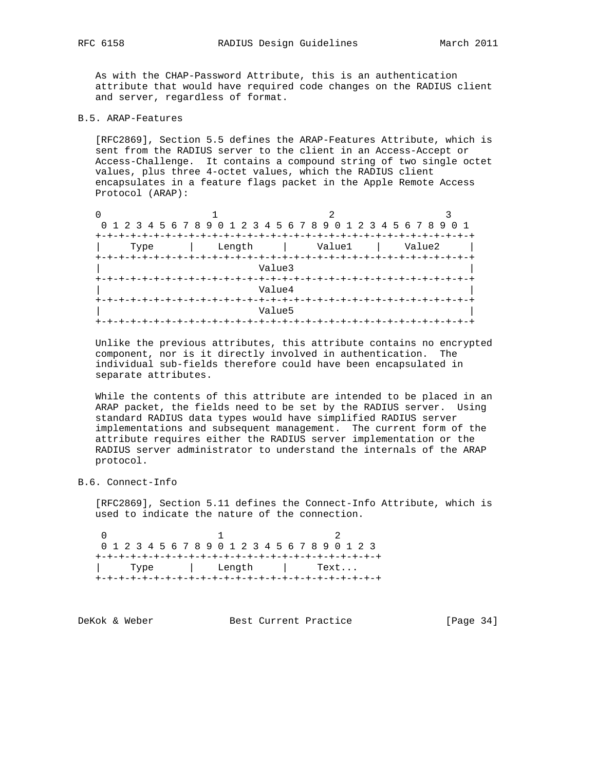As with the CHAP-Password Attribute, this is an authentication attribute that would have required code changes on the RADIUS client and server, regardless of format.

# B.5. ARAP-Features

 [RFC2869], Section 5.5 defines the ARAP-Features Attribute, which is sent from the RADIUS server to the client in an Access-Accept or Access-Challenge. It contains a compound string of two single octet values, plus three 4-octet values, which the RADIUS client encapsulates in a feature flags packet in the Apple Remote Access Protocol (ARAP):

|      | 0 1 2 3 4 5 6 7 8 9 0 1 2 3 4 5 6 7 8 9 0 1 2 3 4 5 6 7 8 9 0 1 |        |        |  |  |  |  |  |  |  |  |  |  |  |  |
|------|-----------------------------------------------------------------|--------|--------|--|--|--|--|--|--|--|--|--|--|--|--|
|      |                                                                 |        |        |  |  |  |  |  |  |  |  |  |  |  |  |
| Type | Length                                                          | Value1 | Value2 |  |  |  |  |  |  |  |  |  |  |  |  |
|      |                                                                 |        |        |  |  |  |  |  |  |  |  |  |  |  |  |
|      | Value3                                                          |        |        |  |  |  |  |  |  |  |  |  |  |  |  |
|      |                                                                 |        |        |  |  |  |  |  |  |  |  |  |  |  |  |
|      | Value4                                                          |        |        |  |  |  |  |  |  |  |  |  |  |  |  |
|      |                                                                 |        |        |  |  |  |  |  |  |  |  |  |  |  |  |
|      | Value5                                                          |        |        |  |  |  |  |  |  |  |  |  |  |  |  |
|      | -+-+-+-+-+-+-+-+-+-+-+-+-+-+-+                                  |        |        |  |  |  |  |  |  |  |  |  |  |  |  |

 Unlike the previous attributes, this attribute contains no encrypted component, nor is it directly involved in authentication. The individual sub-fields therefore could have been encapsulated in separate attributes.

 While the contents of this attribute are intended to be placed in an ARAP packet, the fields need to be set by the RADIUS server. Using standard RADIUS data types would have simplified RADIUS server implementations and subsequent management. The current form of the attribute requires either the RADIUS server implementation or the RADIUS server administrator to understand the internals of the ARAP protocol.

B.6. Connect-Info

 [RFC2869], Section 5.11 defines the Connect-Info Attribute, which is used to indicate the nature of the connection.

 $0$  1 2 0 1 2 3 4 5 6 7 8 9 0 1 2 3 4 5 6 7 8 9 0 1 2 3 +-+-+-+-+-+-+-+-+-+-+-+-+-+-+-+-+-+-+-+-+-+-+-+-+ | Type | Length | Text... +-+-+-+-+-+-+-+-+-+-+-+-+-+-+-+-+-+-+-+-+-+-+-+-+

| DeKok & Weber | Best Current Practice | [Page $34$ ] |  |
|---------------|-----------------------|--------------|--|
|               |                       |              |  |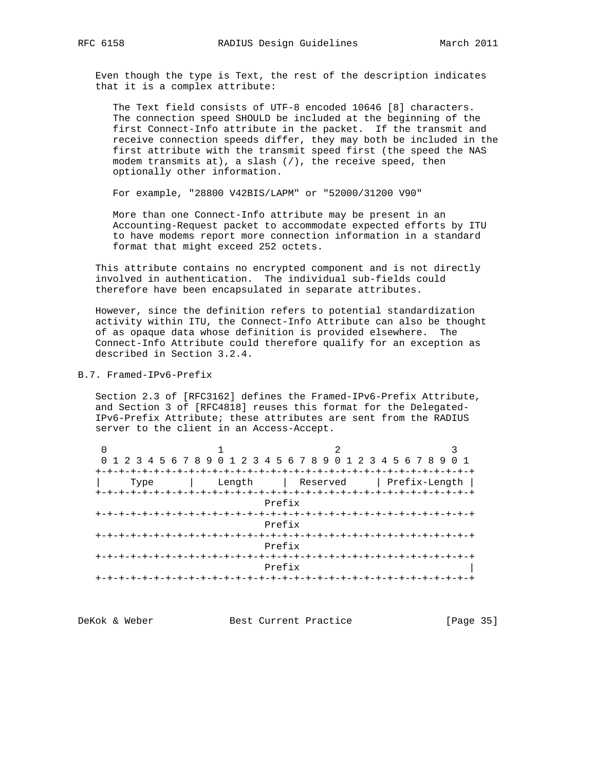Even though the type is Text, the rest of the description indicates that it is a complex attribute:

 The Text field consists of UTF-8 encoded 10646 [8] characters. The connection speed SHOULD be included at the beginning of the first Connect-Info attribute in the packet. If the transmit and receive connection speeds differ, they may both be included in the first attribute with the transmit speed first (the speed the NAS modem transmits at), a slash (/), the receive speed, then optionally other information.

For example, "28800 V42BIS/LAPM" or "52000/31200 V90"

 More than one Connect-Info attribute may be present in an Accounting-Request packet to accommodate expected efforts by ITU to have modems report more connection information in a standard format that might exceed 252 octets.

 This attribute contains no encrypted component and is not directly involved in authentication. The individual sub-fields could therefore have been encapsulated in separate attributes.

 However, since the definition refers to potential standardization activity within ITU, the Connect-Info Attribute can also be thought of as opaque data whose definition is provided elsewhere. The Connect-Info Attribute could therefore qualify for an exception as described in Section 3.2.4.

B.7. Framed-IPv6-Prefix

 Section 2.3 of [RFC3162] defines the Framed-IPv6-Prefix Attribute, and Section 3 of [RFC4818] reuses this format for the Delegated- IPv6-Prefix Attribute; these attributes are sent from the RADIUS server to the client in an Access-Accept.

| 0 1 2 3 4 5 6 7 8 9 0 1 2 3 4 5 6 7 8 9 0 1 2 3 4 5 6 7 8 9 |  |        | 0 1                               |  |  |  |  |  |  |  |  |  |  |  |  |
|-------------------------------------------------------------|--|--------|-----------------------------------|--|--|--|--|--|--|--|--|--|--|--|--|
|                                                             |  |        |                                   |  |  |  |  |  |  |  |  |  |  |  |  |
| Type                                                        |  |        | Length   Reserved   Prefix-Length |  |  |  |  |  |  |  |  |  |  |  |  |
|                                                             |  |        |                                   |  |  |  |  |  |  |  |  |  |  |  |  |
| Prefix                                                      |  |        |                                   |  |  |  |  |  |  |  |  |  |  |  |  |
| +-+-+-+-+-+-+-+-+-                                          |  |        |                                   |  |  |  |  |  |  |  |  |  |  |  |  |
| Prefix                                                      |  |        |                                   |  |  |  |  |  |  |  |  |  |  |  |  |
|                                                             |  |        |                                   |  |  |  |  |  |  |  |  |  |  |  |  |
|                                                             |  | Prefix |                                   |  |  |  |  |  |  |  |  |  |  |  |  |
| +-+-+-+-+-+-+-+                                             |  |        |                                   |  |  |  |  |  |  |  |  |  |  |  |  |
|                                                             |  | Prefix |                                   |  |  |  |  |  |  |  |  |  |  |  |  |
|                                                             |  |        |                                   |  |  |  |  |  |  |  |  |  |  |  |  |

DeKok & Weber Best Current Practice [Page 35]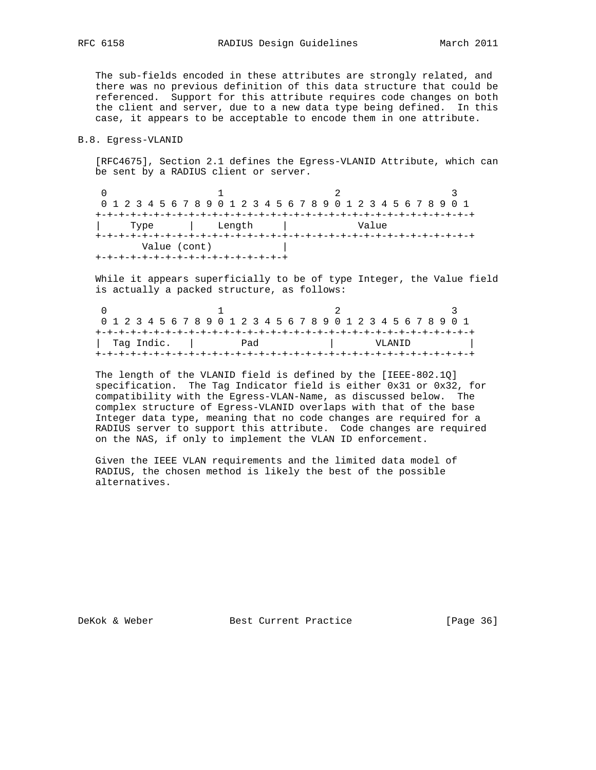The sub-fields encoded in these attributes are strongly related, and there was no previous definition of this data structure that could be referenced. Support for this attribute requires code changes on both the client and server, due to a new data type being defined. In this case, it appears to be acceptable to encode them in one attribute.

#### B.8. Egress-VLANID

 [RFC4675], Section 2.1 defines the Egress-VLANID Attribute, which can be sent by a RADIUS client or server.

 $\begin{array}{ccccccc}\n0 & & & & 1 & & & 2 & & 3\n\end{array}$  0 1 2 3 4 5 6 7 8 9 0 1 2 3 4 5 6 7 8 9 0 1 2 3 4 5 6 7 8 9 0 1 +-+-+-+-+-+-+-+-+-+-+-+-+-+-+-+-+-+-+-+-+-+-+-+-+-+-+-+-+-+-+-+-+ | Type | Length | Value +-+-+-+-+-+-+-+-+-+-+-+-+-+-+-+-+-+-+-+-+-+-+-+-+-+-+-+-+-+-+-+-+ Value (cont) | +-+-+-+-+-+-+-+-+-+-+-+-+-+-+-+-+

 While it appears superficially to be of type Integer, the Value field is actually a packed structure, as follows:

| 0 1 2 3 4 5 6 7 8 9 0 1 2 3 4 5 6 7 8 9 0 1 2 3 4 5 6 7 8 9 0 1 |  |  |  |  |  |  |  |     |  |  |  |  |  |  |         |  |  |  |  |  |  |  |  |  |  |  |  |  |  |  |  |  |
|-----------------------------------------------------------------|--|--|--|--|--|--|--|-----|--|--|--|--|--|--|---------|--|--|--|--|--|--|--|--|--|--|--|--|--|--|--|--|--|
|                                                                 |  |  |  |  |  |  |  |     |  |  |  |  |  |  |         |  |  |  |  |  |  |  |  |  |  |  |  |  |  |  |  |  |
| l Taq Indic.                                                    |  |  |  |  |  |  |  | Pad |  |  |  |  |  |  | VLANTD. |  |  |  |  |  |  |  |  |  |  |  |  |  |  |  |  |  |
|                                                                 |  |  |  |  |  |  |  |     |  |  |  |  |  |  |         |  |  |  |  |  |  |  |  |  |  |  |  |  |  |  |  |  |

 The length of the VLANID field is defined by the [IEEE-802.1Q] specification. The Tag Indicator field is either 0x31 or 0x32, for compatibility with the Egress-VLAN-Name, as discussed below. The complex structure of Egress-VLANID overlaps with that of the base Integer data type, meaning that no code changes are required for a RADIUS server to support this attribute. Code changes are required on the NAS, if only to implement the VLAN ID enforcement.

 Given the IEEE VLAN requirements and the limited data model of RADIUS, the chosen method is likely the best of the possible alternatives.

DeKok & Weber Best Current Practice [Page 36]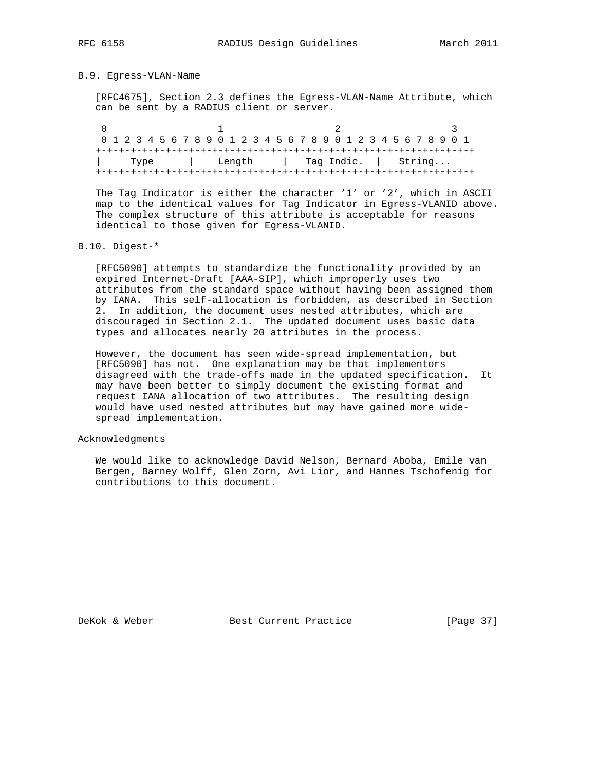#### B.9. Egress-VLAN-Name

 [RFC4675], Section 2.3 defines the Egress-VLAN-Name Attribute, which can be sent by a RADIUS client or server.

| 0 1 2 3 4 5 6 7 8 9 0 1 2 3 4 5 6 7 8 9 0 1 2 3 4 5 6 7 8 9 0 1 |  |        |  |  |  |  |  |  |  |  |  |  |  |  |                     |  |  |  |  |  |  |  |  |
|-----------------------------------------------------------------|--|--------|--|--|--|--|--|--|--|--|--|--|--|--|---------------------|--|--|--|--|--|--|--|--|
|                                                                 |  |        |  |  |  |  |  |  |  |  |  |  |  |  |                     |  |  |  |  |  |  |  |  |
| Type                                                            |  | Length |  |  |  |  |  |  |  |  |  |  |  |  | Tag Indic.   String |  |  |  |  |  |  |  |  |
|                                                                 |  |        |  |  |  |  |  |  |  |  |  |  |  |  |                     |  |  |  |  |  |  |  |  |

 The Tag Indicator is either the character '1' or '2', which in ASCII map to the identical values for Tag Indicator in Egress-VLANID above. The complex structure of this attribute is acceptable for reasons identical to those given for Egress-VLANID.

#### B.10. Digest-\*

 [RFC5090] attempts to standardize the functionality provided by an expired Internet-Draft [AAA-SIP], which improperly uses two attributes from the standard space without having been assigned them by IANA. This self-allocation is forbidden, as described in Section 2. In addition, the document uses nested attributes, which are discouraged in Section 2.1. The updated document uses basic data types and allocates nearly 20 attributes in the process.

 However, the document has seen wide-spread implementation, but [RFC5090] has not. One explanation may be that implementors disagreed with the trade-offs made in the updated specification. It may have been better to simply document the existing format and request IANA allocation of two attributes. The resulting design would have used nested attributes but may have gained more wide spread implementation.

#### Acknowledgments

 We would like to acknowledge David Nelson, Bernard Aboba, Emile van Bergen, Barney Wolff, Glen Zorn, Avi Lior, and Hannes Tschofenig for contributions to this document.

DeKok & Weber Best Current Practice [Page 37]